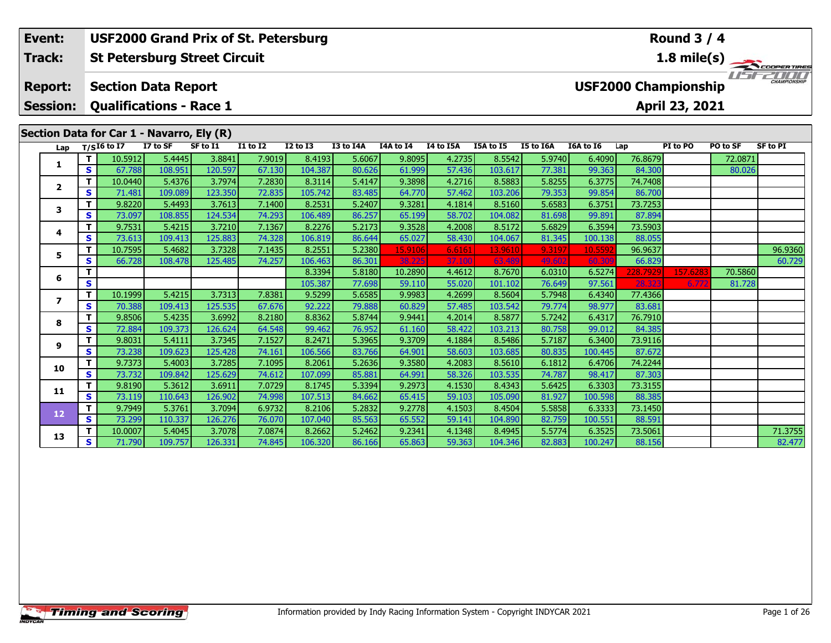| Event:          |                                   |                                           |                   | <b>USF2000 Grand Prix of St. Petersburg</b> |                  |                   |                  |                   |                  |                   |                 |                  |                   | <b>Round 3 / 4</b>          |          |                   |
|-----------------|-----------------------------------|-------------------------------------------|-------------------|---------------------------------------------|------------------|-------------------|------------------|-------------------|------------------|-------------------|-----------------|------------------|-------------------|-----------------------------|----------|-------------------|
| <b>Track:</b>   |                                   |                                           |                   | <b>St Petersburg Street Circuit</b>         |                  |                   |                  |                   |                  |                   |                 |                  |                   |                             |          | 1.8 mile(s)       |
| <b>Report:</b>  |                                   | <b>Section Data Report</b>                |                   |                                             |                  |                   |                  |                   |                  |                   |                 |                  |                   | <b>USF2000 Championship</b> |          | CHAMPIONSHIL      |
| <b>Session:</b> |                                   | <b>Qualifications - Race 1</b>            |                   |                                             |                  |                   |                  |                   |                  |                   |                 |                  |                   | April 23, 2021              |          |                   |
|                 |                                   | Section Data for Car 1 - Navarro, Ely (R) |                   |                                             |                  |                   |                  |                   |                  |                   |                 |                  |                   |                             |          |                   |
| Lap             |                                   | $T/SI6$ to $\overline{I7}$                | I7 to SF          | SF to I1                                    | <b>I1 to I2</b>  | <b>I2 to I3</b>   | I3 to I4A        | I4A to I4         | I4 to I5A        | I5A to I5         | I5 to I6A       | I6A to I6        | Lap               | PI to PO                    | PO to SF | <b>SF to PI</b>   |
| 1               | т                                 | 10.5912                                   | 5.4445            | 3.8841                                      | 7.9019           | 8.4193            | 5.6067           | 9.8095            | 4.2735           | 8.5542            | 5.9740          | 6.4090           | 76.8679           |                             | 72.0871  |                   |
|                 | s                                 | 67.788                                    | 108.951           | 120.597                                     | 67.130           | 104.387           | 80.626           | 61.999            | 57.436           | 103.617           | 77.381          | 99.363           | 84.300            |                             | 80.026   |                   |
| $\overline{2}$  | т                                 | 10.0440                                   | 5.4376            | 3.7974                                      | 7.2830           | 8.3114            | 5.4147           | 9.3898            | 4.2716           | 8.5883            | 5.8255          | 6.3775           | 74.7408           |                             |          |                   |
|                 | S                                 | 71.481                                    | 109.089           | 123.350                                     | 72.835           | 105.742           | 83.485           | 64.770            | 57.462           | 103.206           | 79.353          | 99.854           | 86.700            |                             |          |                   |
| 3               | т                                 | 9.8220                                    | 5.4493            | 3.7613                                      | 7.1400           | 8.2531            | 5.2407           | 9.3281            | 4.1814           | 8.5160            | 5.6583          | 6.3751           | 73.7253           |                             |          |                   |
|                 | S                                 | 73.097                                    | 108.855           | 124.534                                     | 74.293           | 106.489           | 86.257           | 65.199            | 58.702           | 104.082           | 81.698          | 99.891           | 87.894            |                             |          |                   |
| 4               | т                                 | 9.7531                                    | 5.4215            | 3.7210                                      | 7.1367           | 8.2276            | 5.2173           | 9.3528            | 4.2008           | 8.5172            | 5.6829          | 6.3594           | 73.5903           |                             |          |                   |
|                 | S                                 | 73.613                                    | 109.413           | 125.883                                     | 74.328           | 106.819           | 86.644           | 65.027            | 58.430           | 104.067           | 81.345          | 100.138          | 88.055            |                             |          |                   |
| 5               | $\mathbf T$<br>s                  | 10.7595<br>66.728                         | 5.4682<br>108.478 | 3.7328<br>125.485                           | 7.1435<br>74.257 | 8.2551<br>106.463 | 5.2380<br>86.301 | 15.9106<br>38.225 | 6.6161<br>37.100 | 13.9610<br>63.489 | 9.3197<br>49.60 | 10.5592<br>60.30 | 96.9637<br>66.829 |                             |          | 96.9360<br>60.729 |
|                 |                                   |                                           |                   |                                             |                  | 8.3394            | 5.8180           | 10.2890           | 4.4612           | 8.7670            | 6.0310          | 6.5274           | 228.7929          | 157.6283                    | 70.5860  |                   |
| 6               | S                                 |                                           |                   |                                             |                  | 105.387           | 77.698           | 59.110            | 55.020           | 101.102           | 76.649          | 97.561           | 28.323            | 6.772                       | 81.728   |                   |
|                 |                                   | 10.1999                                   | 5.4215            | 3.7313                                      | 7.8381           | 9.5299            | 5.6585           | 9.9983            | 4.2699           | 8.5604            | 5.7948          | 6.4340           | 77.4366           |                             |          |                   |
|                 | т<br>$\overline{\mathbf{z}}$<br>S | 70.388                                    | 109.413           | 125.535                                     | 67.676           | 92.222            | 79.888           | 60.829            | 57.485           | 103.542           | 79.774          | 98.977           | 83.681            |                             |          |                   |
|                 |                                   | 9.8506                                    | 5.4235            | 3.6992                                      | 8.2180           | 8.8362            | 5.8744           | 9.9441            | 4.2014           | 8.5877            | 5.7242          | 6.4317           | 76.7910           |                             |          |                   |
| 8               | s                                 | 72.884                                    | 109.373           | 126.624                                     | 64.548           | 99.462            | 76.952           | 61.160            | 58.422           | 103.213           | 80.758          | 99.012           | 84.385            |                             |          |                   |

**<sup>T</sup>** 9.8031 5.4111 3.7345 7.1527 8.2471 5.3965 9.3709 4.1884 8.5486 5.7187 6.3400 73.9116 **<sup>S</sup>** 73.238 109.623 125.428 74.161 106.566 83.766 64.901 58.603 103.685 80.835 100.445 87.672

**<sup>T</sup>** 9.7373 5.4003 3.7285 7.1095 8.2061 5.2636 9.3580 4.2083 8.5610 6.1812 6.4706 74.2244 **<sup>S</sup>** 73.732 109.842 125.629 74.612 107.099 85.881 64.991 58.326 103.535 74.787 98.417 87.303

**<sup>T</sup>** 9.8190 5.3612 3.6911 7.0729 8.1745 5.3394 9.2973 4.1530 8.4343 5.6425 6.3303 73.3155 **<sup>S</sup>** 73.119 110.643 126.902 74.998 107.513 84.662 65.415 59.103 105.090 81.927 100.598 88.385

**<sup>T</sup>** 9.7949 5.3761 3.7094 6.9732 8.2106 5.2832 9.2778 4.1503 8.4504 5.5858 6.3333 73.1450 **<sup>S</sup>** 73.299 110.337 126.276 76.070 107.040 85.563 65.552 59.141 104.890 82.759 100.551 88.591

**9**

**10**

**11**

**12**

**13**

**<sup>T</sup>** 10.0007 5.4045 3.7078 7.0874 8.2662 5.2462 9.2341 4.1348 8.4945 5.5774 6.3525 73.5061 71.3755 **<sup>S</sup>** 71.790 109.757 126.331 74.845 106.320 86.166 65.863 59.363 104.346 82.883 100.247 88.156 82.477

82.477

84.385

87.672

88.38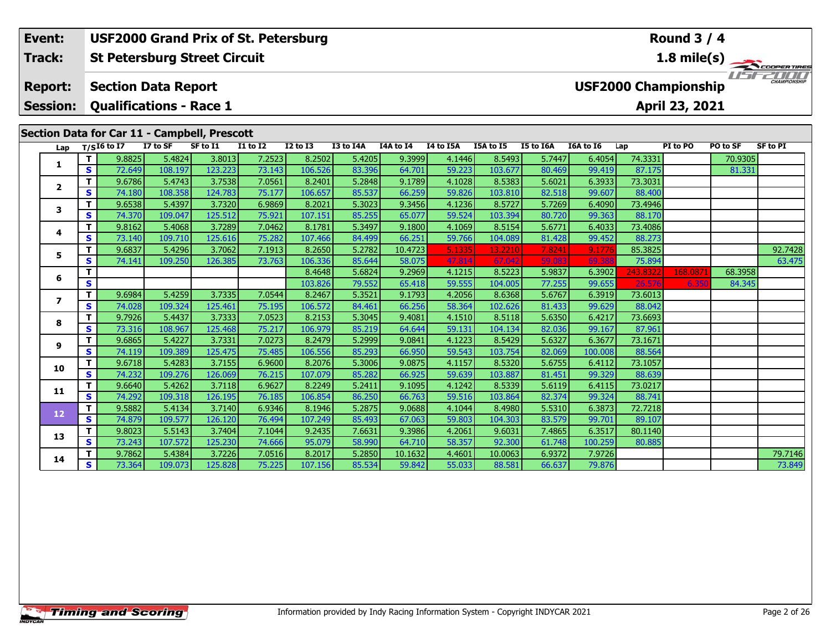#### **Event: USF2000 Grand Prix of St. Petersburg Round 3 / 4St Petersburg Street Circuit 1.8 mile(s) Track:** THE COOPERTIRES **Report: Section Data Report USF2000 Championship Qualifications - Race 1 Session:April 23, 2021 Section Data for Car 11 - Campbell, Prescott**

| Lap            |                         | $T/SI6$ to I7    | I7 to SF          | ection Data for car 11 - campbell, Frescott<br>SF to I1 | <b>I1 to I2</b>  | <b>I2 to I3</b>   | I3 to I4A        | I4A to I4        | I4 to I5A        | I5A to I5         | I5 to I6A        | I6A to I6        | Lap               | PI to PO | PO to SF | <b>SF to PI</b> |
|----------------|-------------------------|------------------|-------------------|---------------------------------------------------------|------------------|-------------------|------------------|------------------|------------------|-------------------|------------------|------------------|-------------------|----------|----------|-----------------|
|                | т                       | 9.8825           | 5.4824            | 3.8013                                                  | 7.2523           | 8.2502            | 5.4205           | 9.3999           | 4.1446           | 8.5493            | 5.7447           | 6.4054           | 74.3331           |          | 70.9305  |                 |
| 1              | S                       | 72.649           | 108.197           | 123.223                                                 | 73.143           | 106.526           | 83.396           | 64.701           | 59.223           | 103.677           | 80.469           | 99.419           | 87.175            |          | 81.331   |                 |
|                | т                       | 9.6786           | 5.4743            | 3.7538                                                  | 7.0561           | 8.2401            | 5.2848           | 9.1789           | 4.1028           | 8.5383            | 5.6021           | 6.3933           | 73.3031           |          |          |                 |
| $\mathbf{2}$   | S.                      | 74.180           | 108.358           | 124.783                                                 | 75.177           | 106.657           | 85.537           | 66.259           | 59.826           | 103.810           | 82.518           | 99.607           | 88.400            |          |          |                 |
| 3              | т                       | 9.6538           | 5.4397            | 3.7320                                                  | 6.9869           | 8.2021            | 5.3023           | 9.3456           | 4.1236           | 8.5727            | 5.7269           | 6.4090           | 73.4946           |          |          |                 |
|                | S.                      | 74.370           | 109.047           | 125.512                                                 | 75.921           | 107.151           | 85.255           | 65.077           | 59.524           | 103.394           | 80.720           | 99.363           | 88.170            |          |          |                 |
| 4              | т                       | 9.8162           | 5.4068            | 3.7289                                                  | 7.0462           | 8.1781            | 5.3497           | 9.1800           | 4.1069           | 8.5154            | 5.6771           | 6.4033           | 73.4086           |          |          |                 |
|                | S.                      | 73.140           | 109.710           | 125.616                                                 | 75.282           | 107.466           | 84.499           | 66.251           | 59.766           | 104.089           | 81.428           | 99.452           | 88.273            |          |          |                 |
| 5              | т                       | 9.6837           | 5.4296            | 3.7062                                                  | 7.1913           | 8.2650            | 5.2782           | 10.4723          | 5.1335           | 13.2210           | 7.8241           | 9.1776           | 85.3825           |          |          | 92.7428         |
|                | S.                      | 74.141           | 109.250           | 126.385                                                 | 73.763           | 106.336           | 85.644           | 58.075           | 47.814           | 67.042            | 59.083           | 69.38            | 75.894            |          |          | 63.475          |
| 6              | T.                      |                  |                   |                                                         |                  | 8.4648            | 5.6824           | 9.2969           | 4.1215           | 8.5223            | 5.9837           | 6.3902           | 243.8322          | 168.087  | 68.3958  |                 |
|                | $\overline{\mathbf{s}}$ |                  |                   |                                                         |                  | 103.826           | 79.552           | 65.418           | 59.555           | 104.005           | 77.255           | 99.655           | 26.576            | 6.350    | 84.345   |                 |
| $\overline{ }$ | Τ.                      | 9.6984           | 5.4259            | 3.7335                                                  | 7.0544           | 8.2467            | 5.3521           | 9.1793           | 4.2056           | 8.6368            | 5.6767           | 6.3919           | 73.6013           |          |          |                 |
|                | S.                      | 74.028           | 109.324           | 125.461                                                 | 75.195           | 106.572           | 84.461           | 66.256           | 58.364           | 102.626           | 81.433           | 99.629           | 88.042            |          |          |                 |
| 8              | т<br>S.                 | 9.7926           | 5.4437            | 3.7333                                                  | 7.0523           | 8.2153            | 5.3045           | 9.4081           | 4.1510           | 8.5118            | 5.6350           | 6.4217           | 73.6693           |          |          |                 |
|                | T.                      | 73.316<br>9.6865 | 108.967<br>5.4227 | 125.468<br>3.7331                                       | 75.217<br>7.0273 | 106.979<br>8.2479 | 85.219<br>5.2999 | 64.644<br>9.0841 | 59.131<br>4.1223 | 104.134<br>8.5429 | 82.036<br>5.6327 | 99.167<br>6.3677 | 87.961<br>73.1671 |          |          |                 |
| 9              | S.                      | 74.119           | 109.389           | 125.475                                                 | 75.485           | 106.556           | 85.293           | 66.950           | 59.543           | 103.754           | 82.069           | 100.008          | 88.564            |          |          |                 |
|                | T.                      | 9.6718           | 5.4283            | 3.7155                                                  | 6.9600           | 8.2076            | 5.3006           | 9.0875           | 4.1157           | 8.5320            | 5.6755           | 6.4112           | 73.1057           |          |          |                 |
| 10             | S.                      | 74.232           | 109.276           | 126.069                                                 | 76.215           | 107.079           | 85.282           | 66.925           | 59.639           | 103.887           | 81.451           | 99.329           | 88.639            |          |          |                 |
|                | т                       | 9.6640           | 5.4262            | 3.7118                                                  | 6.9627           | 8.2249            | 5.2411           | 9.1095           | 4.1242           | 8.5339            | 5.6119           | 6.4115           | 73.0217           |          |          |                 |
| 11             | S.                      | 74.292           | 109.318           | 126.195                                                 | 76.185           | 106.854           | 86.250           | 66.763           | 59.516           | 103.864           | 82.374           | 99.324           | 88.741            |          |          |                 |
|                | T.                      | 9.5882           | 5.4134            | 3.7140                                                  | 6.9346           | 8.1946            | 5.2875           | 9.0688           | 4.1044           | 8.4980            | 5.5310           | 6.3873           | 72.7218           |          |          |                 |
| 12             | S                       | 74.879           | 109.577           | 126.120                                                 | 76.494           | 107.249           | 85.493           | 67.063           | 59.803           | 104.303           | 83.579           | 99.701           | 89.107            |          |          |                 |
|                | T.                      | 9.8023           | 5.5143            | 3.7404                                                  | 7.1044           | 9.2435            | 7.6631           | 9.3986           | 4.2061           | 9.6031            | 7.4865           | 6.3517           | 80.1140           |          |          |                 |
| 13             | S.                      | 73.243           | 107.572           | 125.230                                                 | 74.666           | 95.079            | 58.990           | 64.710           | 58.357           | 92.300            | 61.748           | 100.259          | 80.885            |          |          |                 |
|                | T.                      | 9.7862           | 5.4384            | 3.7226                                                  | 7.0516           | 8.2017            | 5.2850           | 10.1632          | 4.4601           | 10.0063           | 6.9372           | 7.9726           |                   |          |          | 79.7146         |
| 14             | S.                      | 73.364           | 109.073           | 125.828                                                 | 75.225           | 107.156           | 85.534           | 59.842           | 55.033           | 88.581            | 66.637           | 79.876           |                   |          |          | 73.849          |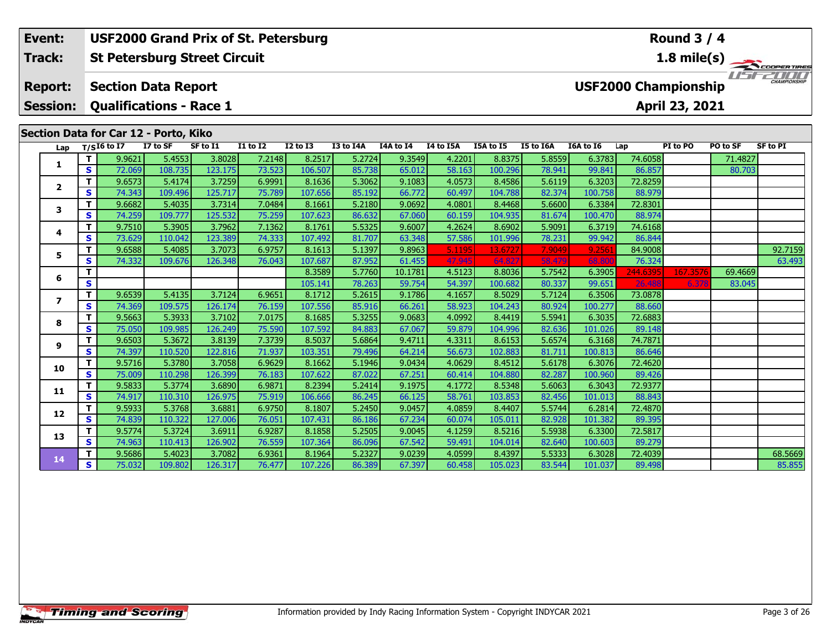**Session:Qualifications - Race 1**

## **Section Data for Car 12 - Porto, Kiko**

| Lap            |    | $T/SI6$ to I7 | I7 to SF | SF to I1 | <b>I1 to I2</b> | <b>I2 to I3</b> | I3 to I4A | I4A to I4 | I4 to I5A | I5A to I5 | I5 to I6A | I6A to I6 | Lap      | PI to PO | PO to SF | <b>SF to PI</b> |
|----------------|----|---------------|----------|----------|-----------------|-----------------|-----------|-----------|-----------|-----------|-----------|-----------|----------|----------|----------|-----------------|
|                |    | 9.9621        | 5.4553   | 3.8028   | 7.2148          | 8.2517          | 5.2724    | 9.3549    | 4.2201    | 8.8375    | 5.8559    | 6.3783    | 74.6058  |          | 71.4827  |                 |
| 1              | s  | 72.069        | 108.735  | 123.175  | 73.523          | 106.507         | 85.738    | 65.012    | 58.163    | 100.296   | 78.941    | 99.841    | 86.857   |          | 80.703   |                 |
| $\overline{2}$ | т  | 9.6573        | 5.4174   | 3.7259   | 6.9991          | 8.1636          | 5.3062    | 9.1083    | 4.0573    | 8.4586    | 5.6119    | 6.3203    | 72.8259  |          |          |                 |
|                | S. | 74.343        | 109.496  | 125.717  | 75.789          | 107.656         | 85.192    | 66.772    | 60.497    | 104.788   | 82.374    | 100.758   | 88.979   |          |          |                 |
| 3              | T. | 9.6682        | 5.4035   | 3.7314   | 7.0484          | 8.1661          | 5.2180    | 9.0692    | 4.0801    | 8.4468    | 5.6600    | 6.3384    | 72.8301  |          |          |                 |
|                | S. | 74.259        | 109.777  | 125.532  | 75.259          | 107.623         | 86.632    | 67.060    | 60.159    | 104.935   | 81.674    | 100.470   | 88.974   |          |          |                 |
| 4              | T. | 9.7510        | 5.3905   | 3.7962   | 7.1362          | 8.1761          | 5.5325    | 9.6007    | 4.2624    | 8.6902    | 5.9091    | 6.3719    | 74.6168  |          |          |                 |
|                | S. | 73.629        | 110.042  | 123.389  | 74.333          | 107.492         | 81.707    | 63.348    | 57.586    | 101.996   | 78.231    | 99.942    | 86.844   |          |          |                 |
| 5              | т  | 9.6588        | 5.4085   | 3.7073   | 6.9757          | 8.1613          | 5.1397    | 9.8963    | 5.1195    | 13.6727   | 7.9049    | 9.2561    | 84.9008  |          |          | 92.7159         |
|                | S. | 74.332        | 109.676  | 126.348  | 76.043          | 107.687         | 87.952    | 61.455    | 47.945    | 64.827    | 58.479    | 68.80     | 76.324   |          |          | 63.493          |
| 6              | т  |               |          |          |                 | 8.3589          | 5.7760    | 10.1781   | 4.5123    | 8.8036    | 5.7542    | 6.3905    | 244.6395 | 167.3576 | 69.4669  |                 |
|                | S  |               |          |          |                 | 105.141         | 78.263    | 59.754    | 54.397    | 100.682   | 80.337    | 99.651    | 26,488   | 6.378    | 83.045   |                 |
| 7              | т  | 9.6539        | 5.4135   | 3.7124   | 6.9651          | 8.1712          | 5.2615    | 9.1786    | 4.1657    | 8.5029    | 5.7124    | 6.3506    | 73.0878  |          |          |                 |
|                | S. | 74.369        | 109.575  | 126.174  | 76.159          | 107.556         | 85.916    | 66.261    | 58.923    | 104.243   | 80.924    | 100.277   | 88.660   |          |          |                 |
| 8              | т  | 9.5663        | 5.3933   | 3.7102   | 7.0175          | 8.1685          | 5.3255    | 9.0683    | 4.0992    | 8.4419    | 5.5941    | 6.3035    | 72.6883  |          |          |                 |
|                | S. | 75.050        | 109.985  | 126.249  | 75.590          | 107.592         | 84.883    | 67.067    | 59.879    | 104.996   | 82.636    | 101.026   | 89.148   |          |          |                 |
| 9              | т  | 9.6503        | 5.3672   | 3.8139   | 7.3739          | 8.5037          | 5.6864    | 9.4711    | 4.3311    | 8.6153    | 5.6574    | 6.3168    | 74.7871  |          |          |                 |
|                | s  | 74.397        | 110.520  | 122.816  | 71.937          | 103.351         | 79.496    | 64.214    | 56.673    | 102.883   | 81.711    | 100.813   | 86.646   |          |          |                 |
| 10             | T. | 9.5716        | 5.3780   | 3.7058   | 6.9629          | 8.1662          | 5.1946    | 9.0434    | 4.0629    | 8.4512    | 5.6178    | 6.3076    | 72.4620  |          |          |                 |
|                | S  | 75,009        | 110.298  | 126.399  | 76.183          | 107.622         | 87.022    | 67.251    | 60.414    | 104.880   | 82.287    | 100.960   | 89.426   |          |          |                 |
| 11             | т  | 9.5833        | 5.3774   | 3.6890   | 6.9871          | 8.2394          | 5.2414    | 9.1975    | 4.1772    | 8.5348    | 5.6063    | 6.3043    | 72.9377  |          |          |                 |
|                | S. | 74.917        | 110.310  | 126.975  | 75.919          | 106.666         | 86.245    | 66.125    | 58.761    | 103.853   | 82.456    | 101.013   | 88.843   |          |          |                 |
| 12             | T. | 9.5933        | 5.3768   | 3.6881   | 6.9750          | 8.1807          | 5.2450    | 9.0457    | 4.0859    | 8.4407    | 5.5744    | 6.2814    | 72.4870  |          |          |                 |
|                | S. | 74.839        | 110.322  | 127.006  | 76.051          | 107.431         | 86.186    | 67.234    | 60.074    | 105.011   | 82.928    | 101.382   | 89.395   |          |          |                 |
| 13             | т  | 9.5774        | 5.3724   | 3.6911   | 6.9287          | 8.1858          | 5.2505    | 9.0045    | 4.1259    | 8.5216    | 5.5938    | 6.3300    | 72.5817  |          |          |                 |
|                | S. | 74.963        | 110.413  | 126.902  | 76.559          | 107.364         | 86.096    | 67.542    | 59.491    | 104.014   | 82.640    | 100.603   | 89.279   |          |          |                 |
| 14             | т  | 9.5686        | 5.4023   | 3.7082   | 6.9361          | 8.1964          | 5.2327    | 9.0239    | 4.0599    | 8.4397    | 5.5333    | 6.3028    | 72.4039  |          |          | 68.5669         |
|                | S. | 75.032        | 109.802  | 126.317  | 76.477          | 107.226         | 86.389    | 67.397    | 60.458    | 105.023   | 83.544    | 101.037   | 89.498   |          |          | 85.855          |



**1.8 mile(s)**

**April 23, 2021**

TEST EDITO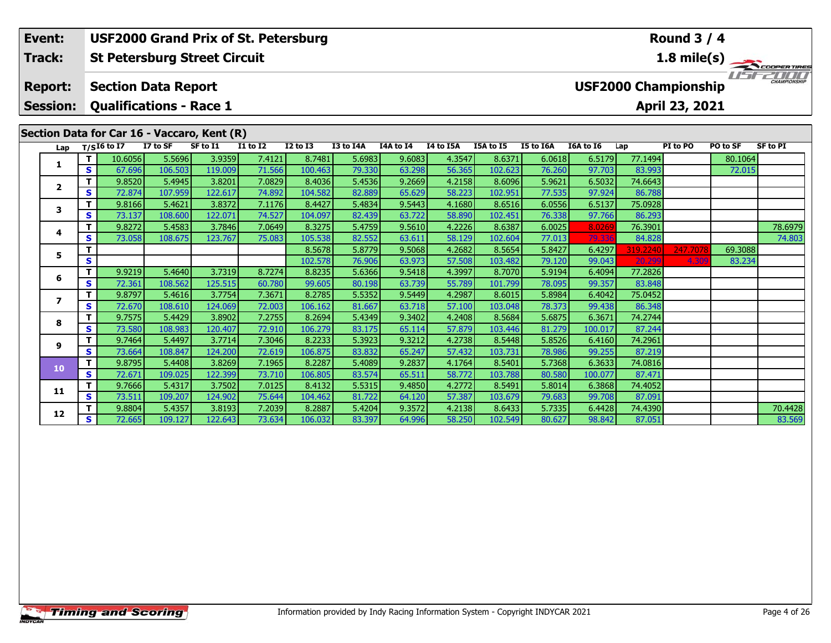#### **Round 3 / 4Event: USF2000 Grand Prix of St. Petersburg Track:St Petersburg Street Circuit 1.8 mile(s)** 11515211111 **Report: Section Data Report USF2000 Championship Session: Qualifications - Race 1 April 23, 2021 Section Data for Car 16 - Vaccaro, Kent (R)**<br>Lap  $\frac{T}{516}$  to I7 I7 to SF SF to I1 I1 **Lap T/SI6 to I7 I7 to SF SF to I1 I1 to I2 I2 to I3 I3 to I4A I4A to I4 I4 to I5A I5A to I5 I5 to I6A I6A to I6 Lap PI to PO PO to SF SF to PI <sup>T</sup>** 10.6056 5.5696 3.9359 7.4121 8.7481 5.6983 9.6083 4.3547 8.6371 6.0618 6.5179 77.1494 80.1064 **<sup>S</sup>** 67.696 106.503 119.009 71.566 100.463 79.330 63.298 56.365 102.623 76.260 97.703 83.993 72.015**1**

**<sup>T</sup>** 9.8272 5.4583 3.7846 7.0649 8.3275 5.4759 9.5610 4.2226 8.6387 6.0025 8.0269 76.3901 78.6979 **<sup>S</sup>** 73.058 108.675 123.767 75.083 105.538 82.552 63.611 58.129 102.604 77.013 79.336 84.828 74.803

**<sup>T</sup>** 9.8804 5.4357 3.8193 7.2039 8.2887 5.4204 9.3572 4.2138 8.6433 5.7335 6.4428 74.4390 70.4428 **<sup>S</sup>** 72.665 109.127 122.643 73.634 106.032 83.397 64.996 58.250 102.549 80.627 98.842 87.051 83.569

**<sup>T</sup>** 8.5678 5.8779 9.5068 4.2682 8.5654 5.8427 6.4297 319.2240 247.7078 69.3088 **<sup>S</sup>** 102.578 76.906 63.973 57.508 103.482 79.120 99.043 20.299 4.309 83.234

**<sup>T</sup>** 9.8520 5.4945 3.8201 7.0829 8.4036 5.4536 9.2669 4.2158 8.6096 5.9621 6.5032 74.6643 **<sup>S</sup>** 72.874 107.959 122.617 74.892 104.582 82.889 65.629 58.223 102.951 77.535 97.924 86.788

**<sup>T</sup>** 9.8166 5.4621 3.8372 7.1176 8.4427 5.4834 9.5443 4.1680 8.6516 6.0556 6.5137 75.0928 **<sup>S</sup>** 73.137 108.600 122.071 74.527 104.097 82.439 63.722 58.890 102.451 76.338 97.766 86.293

**<sup>T</sup>** 9.9219 5.4640 3.7319 8.7274 8.8235 5.6366 9.5418 4.3997 8.7070 5.9194 6.4094 77.2826 **<sup>S</sup>** 72.361 108.562 125.515 60.780 99.605 80.198 63.739 55.789 101.799 78.095 99.357 83.848

**<sup>T</sup>** 9.8797 5.4616 3.7754 7.3671 8.2785 5.5352 9.5449 4.2987 8.6015 5.8984 6.4042 75.0452 **<sup>S</sup>** 72.670 108.610 124.069 72.003 106.162 81.667 63.718 57.100 103.048 78.373 99.438 86.348

**<sup>T</sup>** 9.7575 5.4429 3.8902 7.2755 8.2694 5.4349 9.3402 4.2408 8.5684 5.6875 6.3671 74.2744 **<sup>S</sup>** 73.580 108.983 120.407 72.910 106.279 83.175 65.114 57.879 103.446 81.279 100.017 87.244

**<sup>T</sup>** 9.7464 5.4497 3.7714 7.3046 8.2233 5.3923 9.3212 4.2738 8.5448 5.8526 6.4160 74.2961 **<sup>S</sup>** 73.664 108.847 124.200 72.619 106.875 83.832 65.247 57.432 103.731 78.986 99.255 87.219

**<sup>T</sup>** 9.8795 5.4408 3.8269 7.1965 8.2287 5.4089 9.2837 4.1764 8.5401 5.7368 6.3633 74.0816 **<sup>S</sup>** 72.671 109.025 122.399 73.710 106.805 83.574 65.511 58.772 103.788 80.580 100.077 87.471

**<sup>T</sup>** 9.7666 5.4317 3.7502 7.0125 8.4132 5.5315 9.4850 4.2772 8.5491 5.8014 6.3868 74.4052 **<sup>S</sup>** 73.511 109.207 124.902 75.644 104.462 81.722 64.120 57.387 103.679 79.683 99.708 87.091

|  |  | <b>Timing and Scoring</b> |
|--|--|---------------------------|
|  |  |                           |

**2**

**3**

**4**

**5**

**6**

**7**

**8**

**9**

**10**

**11**

**12**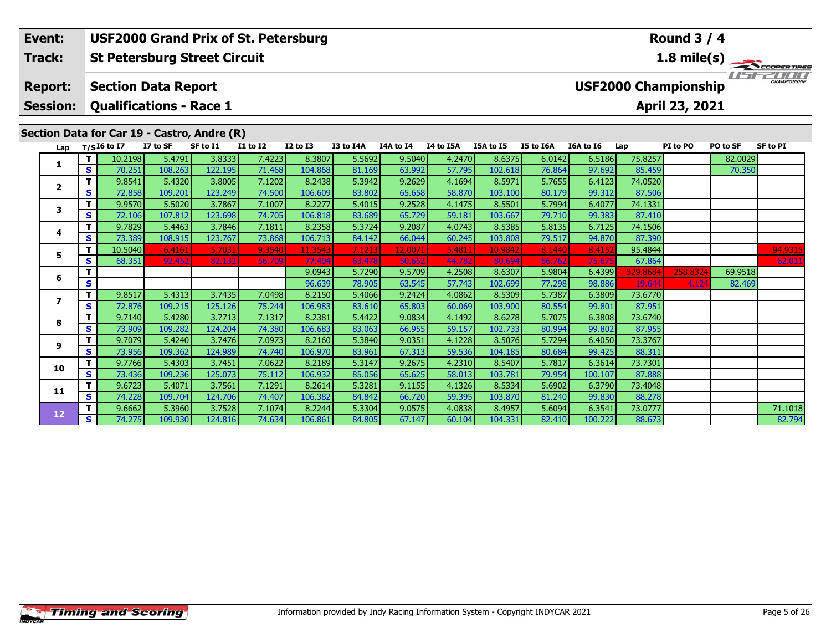#### **Round 3 / 4Event: USF2000 Grand Prix of St. Petersburg St Petersburg Street Circuit 1.8 mile(s) Track:**11515211111 **Report: Section Data Report USF2000 Championship Session: Qualifications - Race 1 April 23, 2021 Section Data for Car 19 - Castro, Andre (R)**<br>Lap T/SI6 to I7 I7 to SF SF to I1 I1 **Lap T/SI6 to I7 I7 to SF SF to I1 I1 to I2 I2 to I3 I3 to I4A I4A to I4 I4 to I5A I5A to I5 I5 to I6A I6A to I6 Lap PI to PO PO to SF SF to PI <sup>T</sup>** 10.2198 5.4791 3.8333 7.4223 8.3807 5.5692 9.5040 4.2470 8.6375 6.0142 6.5186 75.8257 82.0029 **<sup>S</sup>** 70.251 108.263 122.195 71.468 104.868 81.169 63.992 57.795 102.618 76.864 97.692 85.459 70.350**1**

**<sup>T</sup>** 10.5040 6.4161 5.7031 9.3540 11.3543 7.1213 12.0071 5.4811 10.9842 8.1440 8.4152 95.4844 94.9315 **<sup>S</sup>** 68.351 92.452 82.132 56.709 77.404 63.478 50.652 44.782 80.694 56.762 75.675 67.864 62.011

**<sup>T</sup>** 9.6662 5.3960 3.7528 7.1074 8.2244 5.3304 9.0575 4.0838 8.4957 5.6094 6.3541 73.0777 71.1018 **<sup>S</sup>** 74.275 109.930 124.816 74.634 106.861 84.805 67.147 60.104 104.331 82.410 100.222 88.673 82.794

**<sup>T</sup>** 9.0943 5.7290 9.5709 4.2508 8.6307 5.9804 6.4399 329.8684 258.8324 69.9518 **<sup>S</sup>** 96.639 78.905 63.545 57.743 102.699 77.298 98.886 19.644 4.124 82.469

**<sup>T</sup>** 9.8541 5.4320 3.8005 7.1202 8.2438 5.3942 9.2629 4.1694 8.5971 5.7655 6.4123 74.0520 **<sup>S</sup>** 72.858 109.201 123.249 74.500 106.609 83.802 65.658 58.870 103.100 80.179 99.312 87.506

**<sup>T</sup>** 9.9570 5.5020 3.7867 7.1007 8.2277 5.4015 9.2528 4.1475 8.5501 5.7994 6.4077 74.1331 **<sup>S</sup>** 72.106 107.812 123.698 74.705 106.818 83.689 65.729 59.181 103.667 79.710 99.383 87.410

**<sup>T</sup>** 9.7829 5.4463 3.7846 7.1811 8.2358 5.3724 9.2087 4.0743 8.5385 5.8135 6.7125 74.1506 **<sup>S</sup>** 73.389 108.915 123.767 73.868 106.713 84.142 66.044 60.245 103.808 79.517 94.870 87.390

**<sup>T</sup>** 9.8517 5.4313 3.7435 7.0498 8.2150 5.4066 9.2424 4.0862 8.5309 5.7387 6.3809 73.6770 **<sup>S</sup>** 72.876 109.215 125.126 75.244 106.983 83.610 65.803 60.069 103.900 80.554 99.801 87.951

**<sup>T</sup>** 9.7140 5.4280 3.7713 7.1317 8.2381 5.4422 9.0834 4.1492 8.6278 5.7075 6.3808 73.6740 **<sup>S</sup>** 73.909 109.282 124.204 74.380 106.683 83.063 66.955 59.157 102.733 80.994 99.802 87.955

**<sup>T</sup>** 9.7079 5.4240 3.7476 7.0973 8.2160 5.3840 9.0351 4.1228 8.5076 5.7294 6.4050 73.3767 **<sup>S</sup>** 73.956 109.362 124.989 74.740 106.970 83.961 67.313 59.536 104.185 80.684 99.425 88.311

**<sup>T</sup>** 9.7766 5.4303 3.7451 7.0622 8.2189 5.3147 9.2675 4.2310 8.5407 5.7817 6.3614 73.7301 **<sup>S</sup>** 73.436 109.236 125.073 75.112 106.932 85.056 65.625 58.013 103.781 79.954 100.107 87.888

**<sup>T</sup>** 9.6723 5.4071 3.7561 7.1291 8.2614 5.3281 9.1155 4.1326 8.5334 5.6902 6.3790 73.4048 **<sup>S</sup>** 74.228 109.704 124.706 74.407 106.382 84.842 66.720 59.395 103.870 81.240 99.830 88.278

**2**

**3**

**4**

**5**

**6**

**7**

**8**

**9**

**10**

**11**

**12**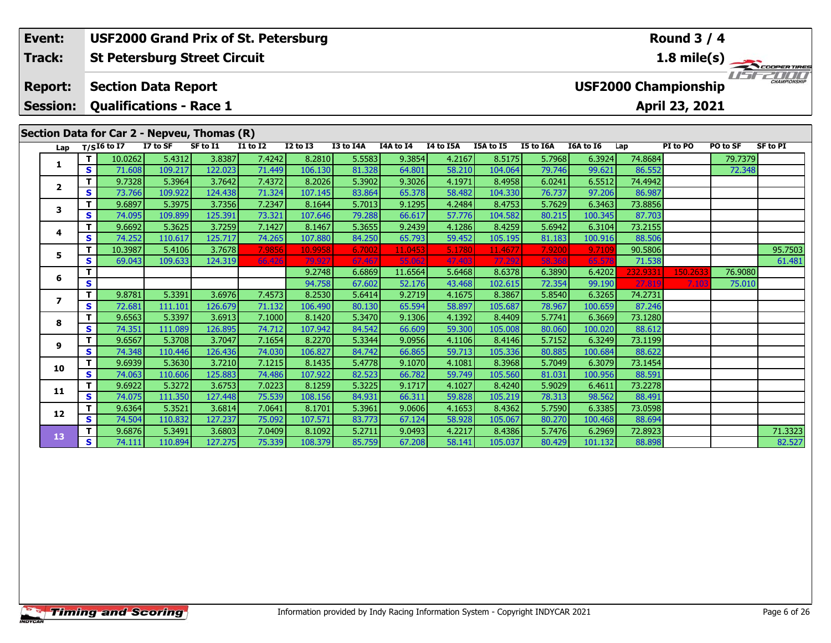### **Round 3 / 4Event: USF2000 Grand Prix of St. Petersburg St Petersburg Street Circuit 1.8 mile(s) Track:**USF2000 **Report: Section Data Report USF2000 Championship Session: Qualifications - Race 1 April 23, 2021 Section Data for Car 2 - Nepveu, Thomas (R) Lap T/SI6 to I7 I7 to SF SF to I1 I1 to I2 I2 to I3 I3 to I4A I4A to I4 I4 to I5A I5A to I5 I5 to I6A I6A to I6 Lap PI to PO PO to SF SF to PI <sup>T</sup>** 10.0262 5.4312 3.8387 7.4242 8.2810 5.5583 9.3854 4.2167 8.5175 5.7968 6.3924 74.8684 79.7379 **<sup>S</sup>** 71.608 109.217 122.023 71.449 106.130 81.328 64.801 58.210 104.064 79.746 99.621 86.552 72.348**1 <sup>T</sup>** 9.7328 5.3964 3.7642 7.4372 8.2026 5.3902 9.3026 4.1971 8.4958 6.0241 6.5512 74.4942 **<sup>S</sup>** 73.766 109.922 124.438 71.324 107.145 83.864 65.378 58.482 104.330 76.737 97.206 86.987**2 <sup>T</sup>** 9.6897 5.3975 3.7356 7.2347 8.1644 5.7013 9.1295 4.2484 8.4753 5.7629 6.3463 73.8856 **<sup>S</sup>** 74.095 109.899 125.391 73.321 107.646 79.288 66.617 57.776 104.582 80.215 100.345 87.703**3 <sup>T</sup>** 9.6692 5.3625 3.7259 7.1427 8.1467 5.3655 9.2439 4.1286 8.4259 5.6942 6.3104 73.2155 **<sup>S</sup>** 74.252 110.617 125.717 74.265 107.880 84.250 65.793 59.452 105.195 81.183 100.916 88.506**4**5 **T** 10.3987 5.4106 3.7678 7.9856 10.9958 6.7002 11.0453 5.1780 11.4677 7.9200 9.7109 90.5806 95.7503<br>S S 69.043 109.633 124.319 66.426 79.927 67.467 55.062 47.403 77.292 58.368 65.578 71.538 61. **5 <sup>T</sup>** 9.2748 6.6869 11.6564 5.6468 8.6378 6.3890 6.4202 232.9331 150.2633 76.9080 **<sup>S</sup>** 94.758 67.602 52.176 43.468 102.615 72.354 99.190 27.819 7.103 75.010**6<sup>T</sup>** 9.8781 5.3391 3.6976 7.4573 8.2530 5.6414 9.2719 4.1675 8.3867 5.8540 6.3265 74.2731 **<sup>S</sup>** 72.681 111.101 126.679 71.132 106.490 80.130 65.594 58.897 105.687 78.967 100.659 87.246

**<sup>T</sup>** 9.6563 5.3397 3.6913 7.1000 8.1420 5.3470 9.1306 4.1392 8.4409 5.7741 6.3669 73.1280 **<sup>S</sup>** 74.351 111.089 126.895 74.712 107.942 84.542 66.609 59.300 105.008 80.060 100.020 88.612

**<sup>T</sup>** 9.6567 5.3708 3.7047 7.1654 8.2270 5.3344 9.0956 4.1106 8.4146 5.7152 6.3249 73.1199 **<sup>S</sup>** 74.348 110.446 126.436 74.030 106.827 84.742 66.865 59.713 105.336 80.885 100.684 88.622

**<sup>T</sup>** 9.6939 5.3630 3.7210 7.1215 8.1435 5.4778 9.1070 4.1081 8.3968 5.7049 6.3079 73.1454 **<sup>S</sup>** 74.063 110.606 125.883 74.486 107.922 82.523 66.782 59.749 105.560 81.031 100.956 88.591

**<sup>T</sup>** 9.6922 5.3272 3.6753 7.0223 8.1259 5.3225 9.1717 4.1027 8.4240 5.9029 6.4611 73.2278 **<sup>S</sup>** 74.075 111.350 127.448 75.539 108.156 84.931 66.311 59.828 105.219 78.313 98.562 88.491

**<sup>T</sup>** 9.6364 5.3521 3.6814 7.0641 8.1701 5.3961 9.0606 4.1653 8.4362 5.7590 6.3385 73.0598 **<sup>S</sup>** 74.504 110.832 127.237 75.092 107.571 83.773 67.124 58.928 105.067 80.270 100.468 88.694

**7**

**8**

**9**

**10**

**11**

**12**

**13**

**<sup>T</sup>** 9.6876 5.3491 3.6803 7.0409 8.1092 5.2711 9.0493 4.2217 8.4386 5.7476 6.2969 72.8923 71.3323 **<sup>S</sup>** 74.111 110.894 127.275 75.339 108.379 85.759 67.208 58.141 105.037 80.429 101.132 88.898 82.527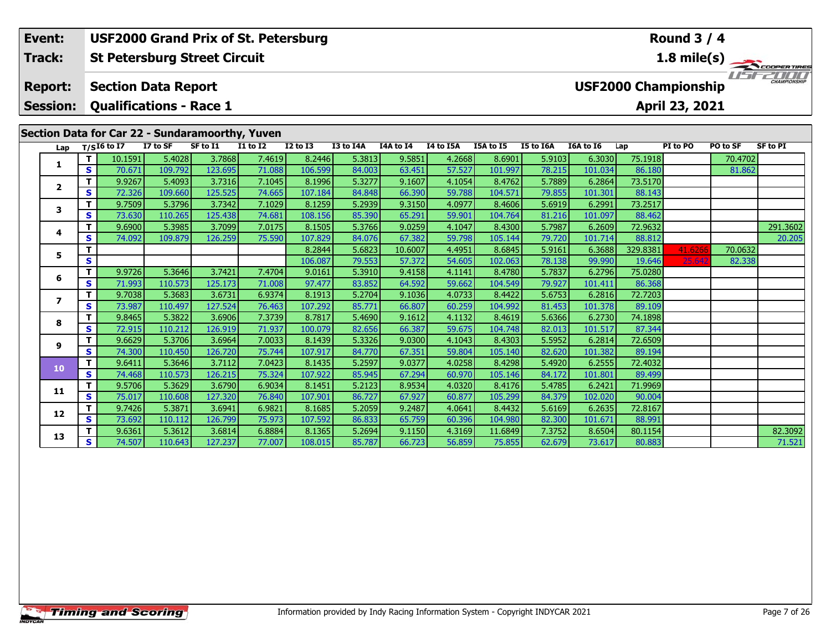|  | Event:                  |   |                                |          | <b>USF2000 Grand Prix of St. Petersburg</b>     |                 |                 |           |           |           |           |           |           |          | <b>Round 3 / 4</b>          |          |                       |
|--|-------------------------|---|--------------------------------|----------|-------------------------------------------------|-----------------|-----------------|-----------|-----------|-----------|-----------|-----------|-----------|----------|-----------------------------|----------|-----------------------|
|  | Track:                  |   |                                |          | <b>St Petersburg Street Circuit</b>             |                 |                 |           |           |           |           |           |           |          |                             |          | $1.8 \text{ mile(s)}$ |
|  | <b>Report:</b>          |   | <b>Section Data Report</b>     |          |                                                 |                 |                 |           |           |           |           |           |           |          | <b>USF2000 Championship</b> |          | <b>CHAMPIONSHIP</b>   |
|  | <b>Session:</b>         |   | <b>Qualifications - Race 1</b> |          |                                                 |                 |                 |           |           |           |           |           |           |          | April 23, 2021              |          |                       |
|  |                         |   |                                |          | Section Data for Car 22 - Sundaramoorthy, Yuven |                 |                 |           |           |           |           |           |           |          |                             |          |                       |
|  | Lap                     |   | $T/SI6$ to I7                  | I7 to SF | SF to I1                                        | <b>I1 to I2</b> | <b>I2 to I3</b> | I3 to I4A | I4A to I4 | I4 to I5A | I5A to I5 | I5 to I6A | I6A to I6 | Lap      | PI to PO                    | PO to SF | <b>SF to PI</b>       |
|  |                         |   | 10.1591                        | 5.4028   | 3.7868                                          | 7.4619          | 8.2446          | 5.3813    | 9.5851    | 4.2668    | 8.6901    | 5.9103    | 6.3030    | 75.1918  |                             | 70.4702  |                       |
|  |                         | S | 70.671                         | 109.792  | 123.695                                         | 71.088          | 106.599         | 84.003    | 63.451    | 57.527    | 101.997   | 78.215    | 101.034   | 86.180   |                             | 81.862   |                       |
|  | $\overline{2}$          | т | 9.9267                         | 5.4093   | 3.7316                                          | 7.1045          | 8.1996          | 5.3277    | 9.1607    | 4.1054    | 8.4762    | 5.7889    | 6.2864    | 73.5170  |                             |          |                       |
|  |                         | S | 72.326                         | 109.660  | 125.525                                         | 74.665          | 107.184         | 84.848    | 66.390    | 59.788    | 104.571   | 79.855    | 101.301   | 88.143   |                             |          |                       |
|  | 3                       | т | 9.7509                         | 5.3796   | 3.7342                                          | 7.1029          | 8.1259          | 5.2939    | 9.3150    | 4.0977    | 8.4606    | 5.6919    | 6.2991    | 73.2517  |                             |          |                       |
|  |                         | s | 73.630                         | 110.265  | 125.438                                         | 74.681          | 108.156         | 85.390    | 65.291    | 59.901    | 104.764   | 81.216    | 101.097   | 88.462   |                             |          |                       |
|  | 4                       | т | 9.6900                         | 5.3985   | 3.7099                                          | 7.0175          | 8.1505          | 5.3766    | 9.0259    | 4.1047    | 8.4300    | 5.7987    | 6.2609    | 72.9632  |                             |          | 291.3602              |
|  |                         | S | 74.092                         | 109.879  | 126.259                                         | 75.590          | 107.829         | 84.076    | 67.382    | 59.798    | 105.144   | 79.720    | 101.714   | 88.812   |                             |          | 20.205                |
|  | 5                       | т |                                |          |                                                 |                 | 8.2844          | 5.6823    | 10.6007   | 4.4951    | 8.6845    | 5.9161    | 6.3688    | 329.8381 | 41.6266                     | 70.0632  |                       |
|  |                         | S |                                |          |                                                 |                 | 106.087         | 79.553    | 57.372    | 54.605    | 102.063   | 78.138    | 99.990    | 19.646   | 25.642                      | 82.338   |                       |
|  | т<br>6<br>S             |   | 9.9726                         | 5.3646   | 3.7421                                          | 7.4704          | 9.0161          | 5.3910    | 9.4158    | 4.1141    | 8.4780    | 5.7837    | 6.2796    | 75.0280  |                             |          |                       |
|  |                         |   | 71.993                         | 110.573  | 125.173                                         | 71.008          | 97.477          | 83.852    | 64.592    | 59.662    | 104.549   | 79.927    | 101.411   | 86.368   |                             |          |                       |
|  | $\overline{\mathbf{z}}$ | т | 9.7038                         | 5.3683   | 3.6731                                          | 6.9374          | 8.1913          | 5.2704    | 9.1036    | 4.0733    | 8.4422    | 5.6753    | 6.2816    | 72.7203  |                             |          |                       |
|  |                         | S | 73.987                         | 110.497  | 127.524                                         | 76.463          | 107.292         | 85,771    | 66.807    | 60.259    | 104.992   | 81.453    | 101.378   | 89.109   |                             |          |                       |
|  | 8                       |   | 9.8465                         | 5.3822   | 3.6906                                          | 7.3739          | 8.7817          | 5.4690    | 9.1612    | 4.1132    | 8.4619    | 5.6366    | 6.2730    | 74.1898  |                             |          |                       |
|  |                         | s | 72.915                         | 110.212  | 126.919                                         | 71.937          | 100.079         | 82.656    | 66.387    | 59.675    | 104.748   | 82.013    | 101.517   | 87.344   |                             |          |                       |

**<sup>T</sup>** 9.6629 5.3706 3.6964 7.0033 8.1439 5.3326 9.0300 4.1043 8.4303 5.5952 6.2814 72.6509 **<sup>S</sup>** 74.300 110.450 126.720 75.744 107.917 84.770 67.351 59.804 105.140 82.620 101.382 89.194

**<sup>T</sup>** 9.6411 5.3646 3.7112 7.0423 8.1435 5.2597 9.0377 4.0258 8.4298 5.4920 6.2555 72.4032 **<sup>S</sup>** 74.468 110.573 126.215 75.324 107.922 85.945 67.294 60.970 105.146 84.172 101.801 89.499

**<sup>T</sup>** 9.5706 5.3629 3.6790 6.9034 8.1451 5.2123 8.9534 4.0320 8.4176 5.4785 6.2421 71.9969 **<sup>S</sup>** 75.017 110.608 127.320 76.840 107.901 86.727 67.927 60.877 105.299 84.379 102.020 90.004

**<sup>T</sup>** 9.7426 5.3871 3.6941 6.9821 8.1685 5.2059 9.2487 4.0641 8.4432 5.6169 6.2635 72.8167 **<sup>S</sup>** 73.692 110.112 126.799 75.973 107.592 86.833 65.759 60.396 104.980 82.300 101.671 88.991

**9**

**10**

**11**

**12**

**13**

**<sup>T</sup>** 9.6361 5.3612 3.6814 6.8884 8.1365 5.2694 9.1150 4.3169 11.6849 7.3752 8.6504 80.1154 82.3092 **<sup>S</sup>** 74.507 110.643 127.237 77.007 108.015 85.787 66.723 56.859 75.855 62.679 73.617 80.883 71.521

71.521

87.344

89.194

 $90.00$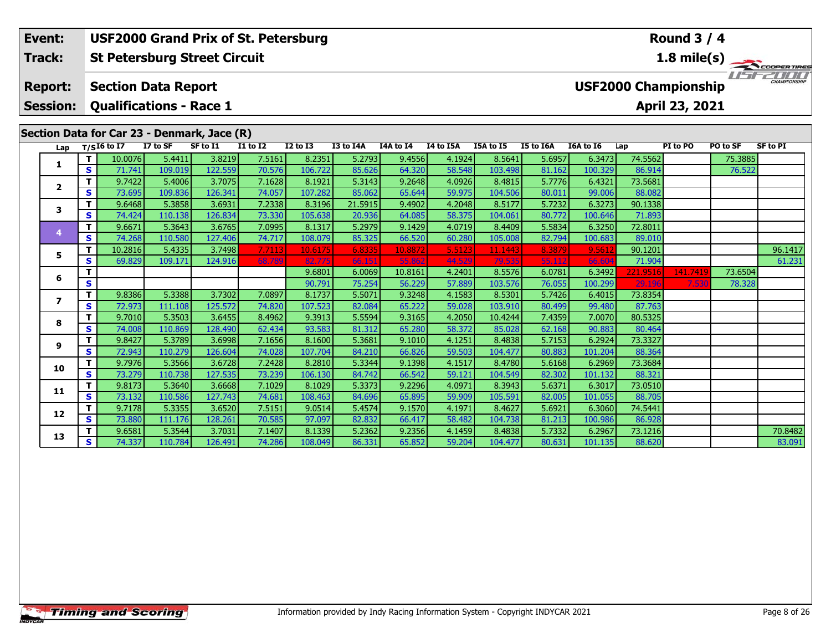### **Round 3 / 4Event: USF2000 Grand Prix of St. Petersburg St Petersburg Street Circuit 1.8 mile(s) Track:**USF2000 **Report: Section Data Report USF2000 Championship Session: Qualifications - Race 1 April 23, 2021 Section Data for Car 23 - Denmark, Jace (R) Lap T/SI6 to I7 I7 to SF SF to I1 I1 to I2 I2 to I3 I3 to I4A I4A to I4 I4 to I5A I5A to I5 I5 to I6A I6A to I6 Lap PI to PO PO to SF SF to PI <sup>T</sup>** 10.0076 5.4411 3.8219 7.5161 8.2351 5.2793 9.4556 4.1924 8.5641 5.6957 6.3473 74.5562 75.3885 **<sup>S</sup>** 71.741 109.019 122.559 70.576 106.722 85.626 64.320 58.548 103.498 81.162 100.329 86.914 76.522**1**

**<sup>T</sup>** 10.2816 5.4335 3.7498 7.7113 10.6175 6.8335 10.8872 5.5123 11.1443 8.3879 9.5612 90.1201 96.1417 **<sup>S</sup>** 69.829 109.171 124.916 68.789 82.775 66.151 55.862 44.529 79.535 55.112 66.604 71.904 61.231

**<sup>T</sup>** 9.6581 5.3544 3.7031 7.1407 8.1339 5.2362 9.2356 4.1459 8.4838 5.7332 6.2967 73.1216 70.8482 **<sup>S</sup>** 74.337 110.784 126.491 74.286 108.049 86.331 65.852 59.204 104.477 80.631 101.135 88.620 83.091

**<sup>T</sup>** 9.6801 6.0069 10.8161 4.2401 8.5576 6.0781 6.3492 221.9516 141.7419 73.6504 **<sup>S</sup>** 90.791 75.254 56.229 57.889 103.576 76.055 100.299 29.196 7.530 78.328

**<sup>T</sup>** 9.7422 5.4006 3.7075 7.1628 8.1921 5.3143 9.2648 4.0926 8.4815 5.7776 6.4321 73.5681 **<sup>S</sup>** 73.695 109.836 126.341 74.057 107.282 85.062 65.644 59.975 104.506 80.011 99.006 88.082

**<sup>T</sup>** 9.6468 5.3858 3.6931 7.2338 8.3196 21.5915 9.4902 4.2048 8.5177 5.7232 6.3273 90.1338 **<sup>S</sup>** 74.424 110.138 126.834 73.330 105.638 20.936 64.085 58.375 104.061 80.772 100.646 71.893

**<sup>T</sup>** 9.6671 5.3643 3.6765 7.0995 8.1317 5.2979 9.1429 4.0719 8.4409 5.5834 6.3250 72.8011 **<sup>S</sup>** 74.268 110.580 127.406 74.717 108.079 85.325 66.520 60.280 105.008 82.794 100.683 89.010

**<sup>T</sup>** 9.8386 5.3388 3.7302 7.0897 8.1737 5.5071 9.3248 4.1583 8.5301 5.7426 6.4015 73.8354 **<sup>S</sup>** 72.973 111.108 125.572 74.820 107.523 82.084 65.222 59.028 103.910 80.499 99.480 87.763

**<sup>T</sup>** 9.7010 5.3503 3.6455 8.4962 9.3913 5.5594 9.3165 4.2050 10.4244 7.4359 7.0070 80.5325 **<sup>S</sup>** 74.008 110.869 128.490 62.434 93.583 81.312 65.280 58.372 85.028 62.168 90.883 80.464

**<sup>T</sup>** 9.8427 5.3789 3.6998 7.1656 8.1600 5.3681 9.1010 4.1251 8.4838 5.7153 6.2924 73.3327 **<sup>S</sup>** 72.943 110.279 126.604 74.028 107.704 84.210 66.826 59.503 104.477 80.883 101.204 88.364

**<sup>T</sup>** 9.7976 5.3566 3.6728 7.2428 8.2810 5.3344 9.1398 4.1517 8.4780 5.6168 6.2969 73.3684 **<sup>S</sup>** 73.279 110.738 127.535 73.239 106.130 84.742 66.542 59.121 104.549 82.302 101.132 88.321

**<sup>T</sup>** 9.8173 5.3640 3.6668 7.1029 8.1029 5.3373 9.2296 4.0971 8.3943 5.6371 6.3017 73.0510 **<sup>S</sup>** 73.132 110.586 127.743 74.681 108.463 84.696 65.895 59.909 105.591 82.005 101.055 88.705

**<sup>T</sup>** 9.7178 5.3355 3.6520 7.5151 9.0514 5.4574 9.1570 4.1971 8.4627 5.6921 6.3060 74.5441 **<sup>S</sup>** 73.880 111.176 128.261 70.585 97.097 82.832 66.417 58.482 104.738 81.213 100.986 86.928

**2**

**3**

**4**

**5**

**6**

**7**

**8**

**9**

**10**

**11**

**12**

**13**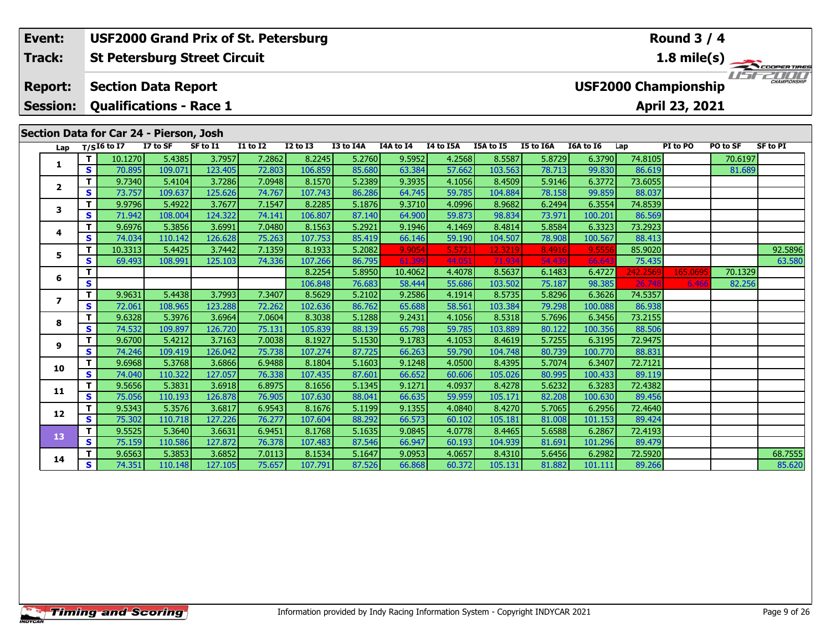**Session:Qualifications - Race 1**

## **Section Data for Car 24 - Pierson, Josh**

| Lap                      |    | $T/SI6$ to $\overline{I7}$ | I7 to SF | SF to I1 | <b>I1 to I2</b> | <b>I2 to I3</b> | I3 to I4A | I4A to I4 | I4 to I5A | I5A to I5 | <b>I5 to I6A</b> | <b>I6A to 16</b> | Lap      | PI to PO | PO to SF | <b>SF to PI</b> |
|--------------------------|----|----------------------------|----------|----------|-----------------|-----------------|-----------|-----------|-----------|-----------|------------------|------------------|----------|----------|----------|-----------------|
|                          |    | 10.1270                    | 5.4385   | 3.7957   | 7.2862          | 8.2245          | 5.2760    | 9.5952    | 4.2568    | 8.5587    | 5.8729           | 6.3790           | 74.8105  |          | 70.6197  |                 |
| 1                        | S. | 70.895                     | 109.071  | 123.405  | 72.803          | 106.859         | 85.680    | 63.384    | 57.662    | 103.563   | 78.713           | 99.830           | 86.619   |          | 81.689   |                 |
| $\mathbf{2}$             | т  | 9.7340                     | 5.4104   | 3.7286   | 7.0948          | 8.1570          | 5.2389    | 9.3935    | 4.1056    | 8.4509    | 5.9146           | 6.3772           | 73.6055  |          |          |                 |
|                          | S. | 73.757                     | 109.637  | 125.626  | 74.767          | 107.743         | 86.286    | 64.745    | 59.785    | 104.884   | 78.158           | 99.859           | 88.037   |          |          |                 |
| 3                        | т  | 9.9796                     | 5.4922   | 3.7677   | 7.1547          | 8.2285          | 5.1876    | 9.3710    | 4.0996    | 8.9682    | 6.2494           | 6.3554           | 74.8539  |          |          |                 |
|                          | S. | 71.942                     | 108.004  | 124.322  | 74.141          | 106.807         | 87.140    | 64.900    | 59.873    | 98.834    | 73.971           | 100.201          | 86.569   |          |          |                 |
| 4                        | т  | 9.6976                     | 5.3856   | 3.6991   | 7.0480          | 8.1563          | 5.2921    | 9.1946    | 4.1469    | 8.4814    | 5.8584           | 6.3323           | 73.2923  |          |          |                 |
|                          | S. | 74.034                     | 110.142  | 126.628  | 75.263          | 107.753         | 85.419    | 66.146    | 59.190    | 104.507   | 78.908           | 100.567          | 88.413   |          |          |                 |
| 5                        | т  | 10.3313                    | 5.4425   | 3.7442   | 7.1359          | 8.1933          | 5.2082    | 9.9054    | 5.5721    | 12.3219   | 8.4916           | 9.5556           | 85,9020  |          |          | 92.5896         |
|                          | S. | 69.493                     | 108.991  | 125.103  | 74.336          | 107.266         | 86.795    | 61.399    | 44.05     | 71.934    | 54.439           | 66.64            | 75.435   |          |          | 63.580          |
| 6                        | т  |                            |          |          |                 | 8.2254          | 5.8950    | 10.4062   | 4.4078    | 8.5637    | 6.1483           | 6.4727           | 242.2569 | 165.0695 | 70.1329  |                 |
|                          | S  |                            |          |          |                 | 106.848         | 76.683    | 58.444    | 55.686    | 103.502   | 75.187           | 98.385           | 26.748   | 6.466    | 82.256   |                 |
| $\overline{\phantom{a}}$ | т  | 9.9631                     | 5.4438   | 3.7993   | 7.3407          | 8.5629          | 5.2102    | 9.2586    | 4.1914    | 8.5735    | 5.8296           | 6.3626           | 74.5357  |          |          |                 |
|                          | S. | 72.061                     | 108.965  | 123.288  | 72.262          | 102.636         | 86.762    | 65.688    | 58.561    | 103.384   | 79.298           | 100.088          | 86.938   |          |          |                 |
| 8                        | т  | 9.6328                     | 5.3976   | 3.6964   | 7.0604          | 8.3038          | 5.1288    | 9.2431    | 4.1056    | 8.5318    | 5.7696           | 6.3456           | 73.2155  |          |          |                 |
|                          | S  | 74.532                     | 109.897  | 126.720  | 75.131          | 105.839         | 88.139    | 65.798    | 59.785    | 103.889   | 80.122           | 100.356          | 88.506   |          |          |                 |
| 9                        | т  | 9.6700                     | 5.4212   | 3.7163   | 7.0038          | 8.1927          | 5.1530    | 9.1783    | 4.1053    | 8.4619    | 5.7255           | 6.3195           | 72.9475  |          |          |                 |
|                          | S  | 74.246                     | 109.419  | 126.042  | 75.738          | 107.274         | 87.725    | 66.263    | 59.790    | 104.748   | 80.739           | 100.770          | 88.831   |          |          |                 |
| 10                       | т  | 9.6968                     | 5.3768   | 3.6866   | 6.9488          | 8.1804          | 5.1603    | 9.1248    | 4.0500    | 8.4395    | 5.7074           | 6.3407           | 72.7121  |          |          |                 |
|                          | S. | 74.040                     | 110.322  | 127.057  | 76.338          | 107.435         | 87.601    | 66.652    | 60.606    | 105.026   | 80.995           | 100.433          | 89.119   |          |          |                 |
| 11                       | T. | 9.5656                     | 5.3831   | 3.6918   | 6.8975          | 8.1656          | 5.1345    | 9.1271    | 4.0937    | 8.4278    | 5.6232           | 6.3283           | 72.4382  |          |          |                 |
|                          | S. | 75.056                     | 110.193  | 126.878  | 76.905          | 107.630         | 88.041    | 66.635    | 59.959    | 105.171   | 82.208           | 100.630          | 89.456   |          |          |                 |
| 12                       | T. | 9.5343                     | 5.3576   | 3.6817   | 6.9543          | 8.1676          | 5.1199    | 9.1355    | 4.0840    | 8.4270    | 5.7065           | 6.2956           | 72.4640  |          |          |                 |
|                          | S  | 75.302                     | 110.718  | 127.226  | 76.277          | 107.604         | 88.292    | 66.573    | 60.102    | 105.181   | 81.008           | 101.153          | 89.424   |          |          |                 |
| 13                       | т  | 9.5525                     | 5.3640   | 3.6631   | 6.9451          | 8.1768          | 5.1635    | 9.0845    | 4.0778    | 8.4465    | 5.6588           | 6.2867           | 72.4193  |          |          |                 |
|                          | S. | 75.159                     | 110.586  | 127.872  | 76.378          | 107.483         | 87.546    | 66.947    | 60.193    | 104.939   | 81.691           | 101.296          | 89.479   |          |          |                 |
| 14                       | т  | 9.6563                     | 5.3853   | 3.6852   | 7.0113          | 8.1534          | 5.1647    | 9.0953    | 4.0657    | 8.4310    | 5.6456           | 6.2982           | 72.5920  |          |          | 68.7555         |
|                          | S. | 74.351                     | 110.148  | 127.105  | 75.657          | 107.791         | 87.526    | 66.868    | 60.372    | 105.131   | 81.882           | 101.111          | 89.266   |          |          | 85.620          |

**Round 3 / 4**

**1.8 mile(s)** THE COOPERTIRES

**April 23, 2021**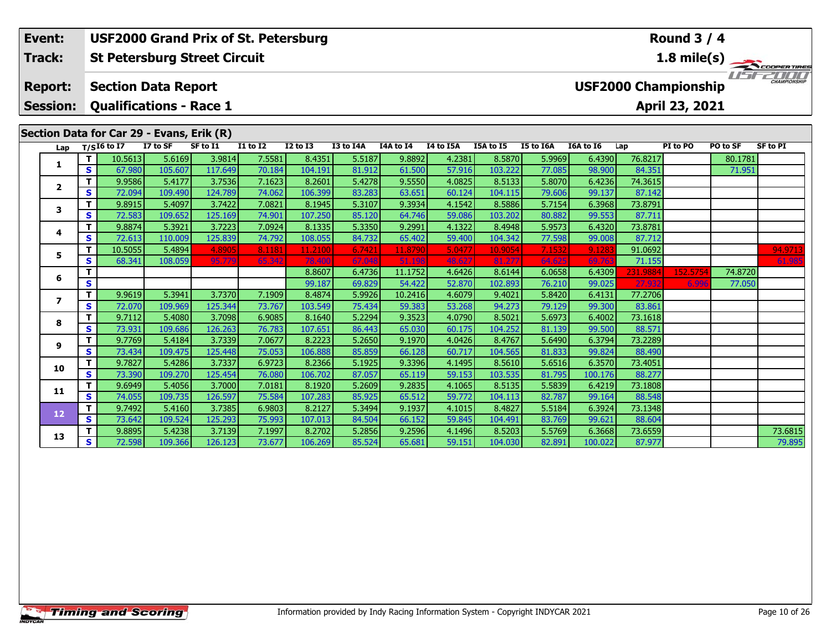### **Round 3 / 4Event: USF2000 Grand Prix of St. Petersburg St Petersburg Street Circuit 1.8 mile(s) Track:**USF2000 **Report: Section Data Report USF2000 Championship Session: Qualifications - Race 1 April 23, 2021 Section Data for Car 29 - Evans, Erik (R) Lap T/SI6 to I7 I7 to SF SF to I1 I1 to I2 I2 to I3 I3 to I4A I4A to I4 I4 to I5A I5A to I5 I5 to I6A I6A to I6 Lap PI to PO PO to SF SF to PI <sup>T</sup>** 10.5613 5.6169 3.9814 7.5581 8.4351 5.5187 9.8892 4.2381 8.5870 5.9969 6.4390 76.8217 80.1781 **<sup>S</sup>** 67.980 105.607 117.649 70.184 104.191 81.912 61.500 57.916 103.222 77.085 98.900 84.351 71.951**1 <sup>T</sup>** 9.9586 5.4177 3.7536 7.1623 8.2601 5.4278 9.5550 4.0825 8.5133 5.8070 6.4236 74.3615 **<sup>S</sup>** 72.094 109.490 124.789 74.062 106.399 83.283 63.651 60.124 104.115 79.606 99.137 87.142**2 <sup>T</sup>** 9.8915 5.4097 3.7422 7.0821 8.1945 5.3107 9.3934 4.1542 8.5886 5.7154 6.3968 73.8791 **<sup>S</sup>** 72.583 109.652 125.169 74.901 107.250 85.120 64.746 59.086 103.202 80.882 99.553 87.711**3 <sup>T</sup>** 9.8874 5.3921 3.7223 7.0924 8.1335 5.3350 9.2991 4.1322 8.4948 5.9573 6.4320 73.8781 **<sup>S</sup>** 72.613 110.009 125.839 74.792 108.055 84.732 65.402 59.400 104.342 77.598 99.008 87.712**4**87.712 5 **T** 10.5055 5.4894 4.8905 8.1181 11.2100 6.7421 11.8790 5.0477 10.9054 7.1532 9.1283 91.0692 – – – 94.9713<br>S S 68.341 108.059 95.779 65.342 78.400 67.048 51.198 48.627 81.277 64.625 69.763 71.155 – – – 61.985 **5**

**<sup>T</sup>** 8.8607 6.4736 11.1752 4.6426 8.6144 6.0658 6.4309 231.9884 152.5754 74.8720 **<sup>S</sup>** 99.187 69.829 54.422 52.870 102.893 76.210 99.025 27.932 6.996 77.050

**<sup>T</sup>** 9.9619 5.3941 3.7370 7.1909 8.4874 5.9926 10.2416 4.6079 9.4021 5.8420 6.4131 77.2706 **<sup>S</sup>** 72.070 109.969 125.344 73.767 103.549 75.434 59.383 53.268 94.273 79.129 99.300 83.861

**<sup>T</sup>** 9.7112 5.4080 3.7098 6.9085 8.1640 5.2294 9.3523 4.0790 8.5021 5.6973 6.4002 73.1618 **<sup>S</sup>** 73.931 109.686 126.263 76.783 107.651 86.443 65.030 60.175 104.252 81.139 99.500 88.571

**<sup>T</sup>** 9.7769 5.4184 3.7339 7.0677 8.2223 5.2650 9.1970 4.0426 8.4767 5.6490 6.3794 73.2289 **<sup>S</sup>** 73.434 109.475 125.448 75.053 106.888 85.859 66.128 60.717 104.565 81.833 99.824 88.490

**<sup>T</sup>** 9.7827 5.4286 3.7337 6.9723 8.2366 5.1925 9.3396 4.1495 8.5610 5.6516 6.3570 73.4051 **<sup>S</sup>** 73.390 109.270 125.454 76.080 106.702 87.057 65.119 59.153 103.535 81.795 100.176 88.277

**<sup>T</sup>** 9.6949 5.4056 3.7000 7.0181 8.1920 5.2609 9.2835 4.1065 8.5135 5.5839 6.4219 73.1808 **<sup>S</sup>** 74.055 109.735 126.597 75.584 107.283 85.925 65.512 59.772 104.113 82.787 99.164 88.548

**<sup>T</sup>** 9.7492 5.4160 3.7385 6.9803 8.2127 5.3494 9.1937 4.1015 8.4827 5.5184 6.3924 73.1348 **<sup>S</sup>** 73.642 109.524 125.293 75.993 107.013 84.504 66.152 59.845 104.491 83.769 99.621 88.604

**6**

**7**

**8**

**9**

**10**

**11**

**12**

**13**

**<sup>T</sup>** 9.8895 5.4238 3.7139 7.1997 8.2702 5.2856 9.2596 4.1496 8.5203 5.5769 6.3668 73.6559 73.6815 **<sup>S</sup>** 72.598 109.366 126.123 73.677 106.269 85.524 65.681 59.151 104.030 82.891 100.022 87.977 79.895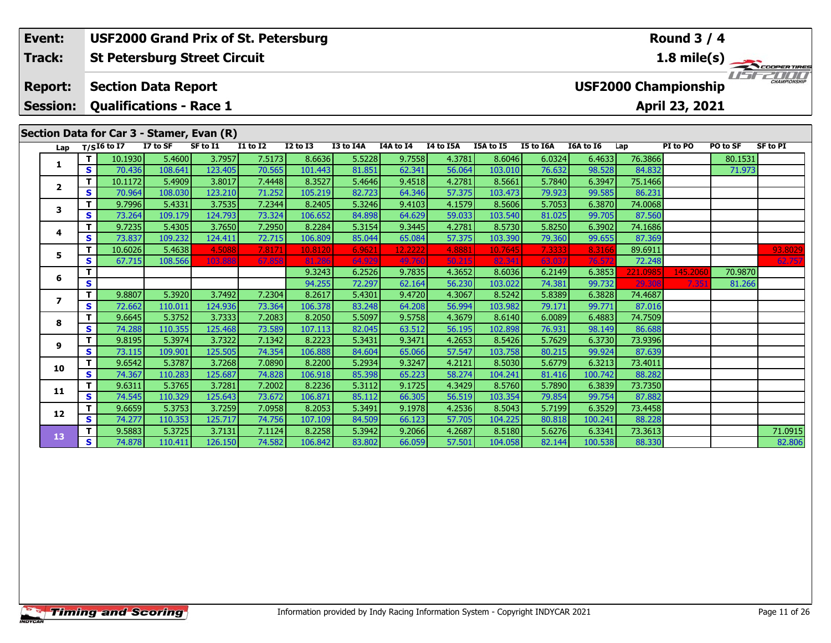#### **St Petersburg Street Circuit Section Data Report April 23, 2021 Event: USF2000 Grand Prix of St. Petersburg Track: Report: Session: Qualifications - Race 1 USF2000 Championship 1.8 mile(s)**<br> **1.8 mile(s)**<br> **151 - 2000 Round 3 / 4**

## **Section Data for Car 3 - Stamer, Evan (R)**

| Lap          |          | $T/SI6$ to I7 | I7 to SF | $\mathbf{v}$<br>SF to I1 | <b>I1 to I2</b> | <b>I2 to I3</b> | I3 to I4A | <b>I4A to I4</b> | I4 to I5A | I5A to I5 | I5 to I6A | I6A to I6 | Lap      | PI to PO | PO to SF | <b>SF to PI</b> |
|--------------|----------|---------------|----------|--------------------------|-----------------|-----------------|-----------|------------------|-----------|-----------|-----------|-----------|----------|----------|----------|-----------------|
|              | т        | 10.1930       | 5.4600   | 3.7957                   | 7.5173          | 8.6636          | 5.5228    | 9.7558           | 4.3781    | 8.6046    | 6.0324    | 6.4633    | 76.3866  |          | 80.1531  |                 |
| 1            | S        | 70.436        | 108.641  | 123.405                  | 70.565          | 101.443         | 81.851    | 62.341           | 56.064    | 103.010   | 76.632    | 98.528    | 84.832   |          | 71.973   |                 |
| $\mathbf{2}$ |          | 10.1172       | 5.4909   | 3.8017                   | 7.4448          | 8.3527          | 5.4646    | 9.4518           | 4.2781    | 8.5661    | 5.7840    | 6.3947    | 75.1466  |          |          |                 |
|              | S        | 70.964        | 108.030  | 123.210                  | 71.252          | 105.219         | 82.723    | 64.346           | 57.375    | 103.473   | 79.923    | 99.585    | 86.231   |          |          |                 |
| 3            | т        | 9.7996        | 5.4331   | 3.7535                   | 7.2344          | 8.2405          | 5.3246    | 9.4103           | 4.1579    | 8.5606    | 5.7053    | 6.3870    | 74.0068  |          |          |                 |
|              | S        | 73.264        | 109.179  | 124.793                  | 73.324          | 106.652         | 84.898    | 64.629           | 59.033    | 103.540   | 81.025    | 99.705    | 87.560   |          |          |                 |
| 4            | т        | 9.7235        | 5.4305   | 3.7650                   | 7.2950          | 8.2284          | 5.3154    | 9.3445           | 4.2781    | 8.5730    | 5.8250    | 6.3902    | 74.1686  |          |          |                 |
|              | S        | 73.837        | 109.232  | 124.411                  | 72.715          | 106.809         | 85.044    | 65.084           | 57.375    | 103.390   | 79.360    | 99.655    | 87.369   |          |          |                 |
| 5            | т        | 10.6026       | 5.4638   | 4.5088                   | 7.8171          | 10.8120         | 6.962     | 12.2222          | 4.8881    | 10.7645   | 7.3333    | 8.3166    | 89.6911  |          |          | 93.8029         |
|              | S        | 67.715        | 108.566  | 103.888                  | 67.858          | 81.286          | 64.929    | 49.760           | 50.215    | 82.341    | 63.037    | 76.57     | 72.248   |          |          | 62.757          |
| 6            | т        |               |          |                          |                 | 9.3243          | 6.2526    | 9.7835           | 4.3652    | 8.6036    | 6.2149    | 6.3853    | 221.0985 | 145,2060 | 70.9870  |                 |
|              | S        |               |          |                          |                 | 94.255          | 72.297    | 62.164           | 56.230    | 103.022   | 74.381    | 99.732    | 29.308   | 7.351    | 81.266   |                 |
| 7            | т        | 9.8807        | 5.3920   | 3.7492                   | 7.2304          | 8.2617          | 5.4301    | 9.4720           | 4.3067    | 8.5242    | 5.8389    | 6.3828    | 74.4687  |          |          |                 |
|              | S        | 72.662        | 110.011  | 124.936                  | 73.364          | 106.378         | 83.248    | 64.208           | 56.994    | 103.982   | 79.171    | 99.771    | 87.016   |          |          |                 |
| 8            | т        | 9.6645        | 5.3752   | 3.7333                   | 7.2083          | 8.2050          | 5.5097    | 9.5758           | 4.3679    | 8.6140    | 6.0089    | 6.4883    | 74.7509  |          |          |                 |
|              | S        | 74.288        | 110.355  | 125.468                  | 73.589          | 107.113         | 82.045    | 63.512           | 56.195    | 102.898   | 76.931    | 98.149    | 86.688   |          |          |                 |
| 9            |          | 9.8195        | 5.3974   | 3.7322                   | 7.1342          | 8.2223          | 5.3431    | 9.3471           | 4.2653    | 8.5426    | 5.7629    | 6.3730    | 73.9396  |          |          |                 |
|              | S        | 73.115        | 109.901  | 125.505                  | 74.354          | 106.888         | 84.604    | 65.066           | 57.547    | 103.758   | 80.215    | 99.924    | 87.639   |          |          |                 |
| 10           | т        | 9.6542        | 5.3787   | 3.7268                   | 7.0890          | 8.2200          | 5.2934    | 9.3247           | 4.2121    | 8.5030    | 5.6779    | 6.3213    | 73.4011  |          |          |                 |
|              | <b>S</b> | 74.367        | 110.283  | 125.687                  | 74.828          | 106.918         | 85.398    | 65.223           | 58.274    | 104.241   | 81.416    | 100.742   | 88.282   |          |          |                 |
| 11           |          | 9.6311        | 5.3765   | 3.7281                   | 7.2002          | 8.2236          | 5.3112    | 9.1725           | 4.3429    | 8.5760    | 5.7890    | 6.3839    | 73.7350  |          |          |                 |
|              | S        | 74.545        | 110.329  | 125.643                  | 73.672          | 106.871         | 85.112    | 66.305           | 56.519    | 103.354   | 79.854    | 99.754    | 87.882   |          |          |                 |
| 12           | т        | 9.6659        | 5.3753   | 3.7259                   | 7.0958          | 8.2053          | 5.3491    | 9.1978           | 4.2536    | 8.5043    | 5.7199    | 6.3529    | 73.4458  |          |          |                 |
|              | S        | 74.277        | 110.353  | 125.717                  | 74.756          | 107.109         | 84.509    | 66.123           | 57.705    | 104.225   | 80.818    | 100.241   | 88.228   |          |          |                 |
| 13           | т        | 9.5883        | 5.3725   | 3.7131                   | 7.1124          | 8.2258          | 5.3942    | 9.2066           | 4.2687    | 8.5180    | 5.6276    | 6.3341    | 73.3613  |          |          | 71.0915         |
|              | S        | 74.878        | 110.411  | 126.150                  | 74.582          | 106.842         | 83.802    | 66.059           | 57.501    | 104.058   | 82.144    | 100.538   | 88.330   |          |          | 82.806          |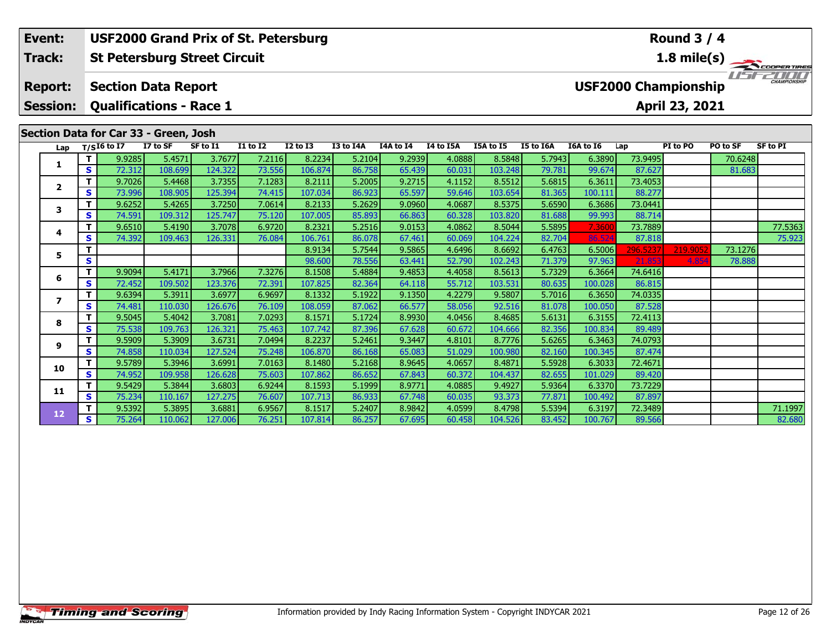**Session:Qualifications - Race 1**

### **Section Data for Car 33 - Green, Josh**

| Lap                     |   | $T/SI6$ to I7 | I7 to SF | SF to I1 | <b>I1 to I2</b> | <b>I2 to I3</b> | I3 to I4A | <b>I4A to I4</b> | I4 to I5A | I5A to I5 | I5 to I6A | I6A to I6 | Lap      | PI to PO | PO to SF | <b>SF to PI</b> |
|-------------------------|---|---------------|----------|----------|-----------------|-----------------|-----------|------------------|-----------|-----------|-----------|-----------|----------|----------|----------|-----------------|
|                         |   | 9.9285        | 5.4571   | 3.7677   | 7.2116          | 8.2234          | 5.2104    | 9.2939           | 4.0888    | 8.5848    | 5.7943    | 6.3890    | 73.9495  |          | 70.6248  |                 |
| 1                       | S | 72.312        | 108.699  | 124.322  | 73.556          | 106.874         | 86.758    | 65.439           | 60.031    | 103.248   | 79.781    | 99.674    | 87.627   |          | 81.683   |                 |
| $\overline{\mathbf{2}}$ | т | 9.7026        | 5.4468   | 3.7355   | 7.1283          | 8.2111          | 5.2005    | 9.2715           | 4.1152    | 8.5512    | 5.6815    | 6.3611    | 73.4053  |          |          |                 |
|                         | s | 73.996        | 108.905  | 125.394  | 74.415          | 107.034         | 86.923    | 65.597           | 59.646    | 103.654   | 81.365    | 100.111   | 88.277   |          |          |                 |
| $\overline{\mathbf{3}}$ | т | 9.6252        | 5.4265   | 3.7250   | 7.0614          | 8.2133          | 5.2629    | 9.0960           | 4.0687    | 8.5375    | 5.6590    | 6.3686    | 73.0441  |          |          |                 |
|                         | S | 74.591        | 109.312  | 125.747  | 75.120          | 107.005         | 85.893    | 66.863           | 60.328    | 103.820   | 81.688    | 99.993    | 88.714   |          |          |                 |
| 4                       | т | 9.6510        | 5.4190   | 3.7078   | 6.9720          | 8.2321          | 5.2516    | 9.0153           | 4.0862    | 8.5044    | 5.5895    | 7.3600    | 73.7889  |          |          | 77.5363         |
|                         | s | 74.392        | 109.463  | 126.331  | 76.084          | 106.761         | 86.078    | 67.461           | 60.069    | 104.224   | 82.704    | 86.524    | 87.818   |          |          | 75.923          |
| 5                       |   |               |          |          |                 | 8.9134          | 5.7544    | 9.5865           | 4.6496    | 8.6692    | 6.4763    | 6.5006    | 296.5237 | 219.9052 | 73.1276  |                 |
|                         | S |               |          |          |                 | 98.600          | 78.556    | 63.441           | 52.790    | 102.243   | 71.379    | 97.963    | 21.853   | 4.854    | 78.888   |                 |
| 6                       | т | 9.9094        | 5.4171   | 3.7966   | 7.3276          | 8.1508          | 5.4884    | 9.4853           | 4.4058    | 8.5613    | 5.7329    | 6.3664    | 74.6416  |          |          |                 |
|                         | S | 72.452        | 109.502  | 123.376  | 72.391          | 107.825         | 82.364    | 64.118           | 55.712    | 103.531   | 80.635    | 100.028   | 86.815   |          |          |                 |
| 7                       | т | 9.6394        | 5.3911   | 3.6977   | 6.9697          | 8.1332          | 5.1922    | 9.1350           | 4.2279    | 9.5807    | 5.7016    | 6.3650    | 74.0335  |          |          |                 |
|                         | S | 74.481        | 110.030  | 126.676  | 76.109          | 108.059         | 87.062    | 66.577           | 58.056    | 92.516    | 81.078    | 100.050   | 87.528   |          |          |                 |
| 8                       |   | 9.5045        | 5.4042   | 3.7081   | 7.0293          | 8.1571          | 5.1724    | 8.9930           | 4.0456    | 8.4685    | 5.6131    | 6.3155    | 72.4113  |          |          |                 |
|                         | S | 75.538        | 109.763  | 126.321  | 75.463          | 107.742         | 87.396    | 67.628           | 60.672    | 104.666   | 82.356    | 100.834   | 89.489   |          |          |                 |
| 9                       |   | 9.5909        | 5.3909   | 3.6731   | 7.0494          | 8.2237          | 5.2461    | 9.3447           | 4.8101    | 8.7776    | 5.6265    | 6.3463    | 74.0793  |          |          |                 |
|                         | S | 74.858        | 110.034  | 127.524  | 75.248          | 106.870         | 86.168    | 65.083           | 51.029    | 100.980   | 82.160    | 100.345   | 87.474   |          |          |                 |
| 10                      |   | 9.5789        | 5.3946   | 3.6991   | 7.0163          | 8.1480          | 5.2168    | 8.9645           | 4.0657    | 8.4871    | 5.5928    | 6.3033    | 72.4671  |          |          |                 |
|                         | S | 74.952        | 109.958  | 126.628  | 75.603          | 107.862         | 86.652    | 67.843           | 60.372    | 104.437   | 82.655    | 101.029   | 89.420   |          |          |                 |
| 11                      |   | 9.5429        | 5.3844   | 3.6803   | 6.9244          | 8.1593          | 5.1999    | 8.9771           | 4.0885    | 9.4927    | 5.9364    | 6.3370    | 73.7229  |          |          |                 |
|                         | S | 75.234        | 110.167  | 127.275  | 76.607          | 107.713         | 86.933    | 67.748           | 60.035    | 93.373    | 77.871    | 100.492   | 87.897   |          |          |                 |
| 12                      |   | 9.5392        | 5.3895   | 3.6881   | 6.9567          | 8.1517          | 5.2407    | 8.9842           | 4.0599    | 8.4798    | 5.5394    | 6.3197    | 72.3489  |          |          | 71.1997         |
|                         | S | 75.264        | 110.062  | 127.006  | 76.251          | 107.814         | 86.257    | 67.695           | 60.458    | 104.526   | 83.452    | 100.767   | 89.566   |          |          | 82.680          |

### **Round 3 / 4**

**April 23, 2021**

**1.8 mile(s)**

**COOPERTIRES**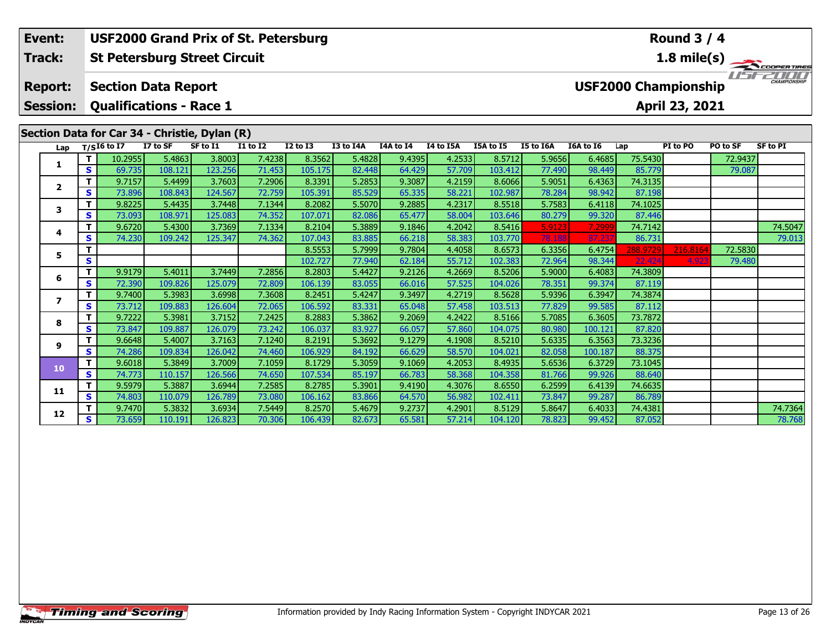### **Round 3 / 4Event: USF2000 Grand Prix of St. Petersburg St Petersburg Street Circuit 1.8 mile(s) Track:**11515211111 **Report: Section Data Report USF2000 Championship Session: Qualifications - Race 1 April 23, 2021 Section Data for Car 34 - Christie, Dylan (R) Lap T/SI6 to I7 I7 to SF SF to I1 I1 to I2 I2 to I3 I3 to I4A I4A to I4 I4 to I5A I5A to I5 I5 to I6A I6A to I6 Lap PI to PO PO to SF SF to PI <sup>T</sup>** 10.2955 5.4863 3.8003 7.4238 8.3562 5.4828 9.4395 4.2533 8.5712 5.9656 6.4685 75.5430 72.9437 **<sup>S</sup>** 69.735 108.121 123.256 71.453 105.175 82.448 64.429 57.709 103.412 77.490 98.449 85.779 79.087**1 <sup>T</sup>** 9.7157 5.4499 3.7603 7.2906 8.3391 5.2853 9.3087 4.2159 8.6066 5.9051 6.4363 74.3135 **<sup>S</sup>** 73.896 108.843 124.567 72.759 105.391 85.529 65.335 58.221 102.987 78.284 98.942 87.198**2**

**<sup>T</sup>** 9.6720 5.4300 3.7369 7.1334 8.2104 5.3889 9.1846 4.2042 8.5416 5.9123 7.2999 74.7142 74.5047 **<sup>S</sup>** 74.230 109.242 125.347 74.362 107.043 83.885 66.218 58.383 103.770 78.188 87.237 86.731 79.013

**<sup>T</sup>** 9.7470 5.3832 3.6934 7.5449 8.2570 5.4679 9.2737 4.2901 8.5129 5.8647 6.4033 74.4381 74.7364 **<sup>S</sup>** 73.659 110.191 126.823 70.306 106.439 82.673 65.581 57.214 104.120 78.823 99.452 87.052 78.768

**<sup>T</sup>** 8.5553 5.7999 9.7804 4.4058 8.6573 6.3356 6.4754 288.9729 216.8164 72.5830 **<sup>S</sup>** 102.727 77.940 62.184 55.712 102.383 72.964 98.344 22.424 4.923 79.480

**<sup>T</sup>** 9.8225 5.4435 3.7448 7.1344 8.2082 5.5070 9.2885 4.2317 8.5518 5.7583 6.4118 74.1025 **<sup>S</sup>** 73.093 108.971 125.083 74.352 107.071 82.086 65.477 58.004 103.646 80.279 99.320 87.446

**<sup>T</sup>** 9.9179 5.4011 3.7449 7.2856 8.2803 5.4427 9.2126 4.2669 8.5206 5.9000 6.4083 74.3809 **<sup>S</sup>** 72.390 109.826 125.079 72.809 106.139 83.055 66.016 57.525 104.026 78.351 99.374 87.119

**<sup>T</sup>** 9.7400 5.3983 3.6998 7.3608 8.2451 5.4247 9.3497 4.2719 8.5628 5.9396 6.3947 74.3874 **<sup>S</sup>** 73.712 109.883 126.604 72.065 106.592 83.331 65.048 57.458 103.513 77.829 99.585 87.112

**<sup>T</sup>** 9.7222 5.3981 3.7152 7.2425 8.2883 5.3862 9.2069 4.2422 8.5166 5.7085 6.3605 73.7872 **<sup>S</sup>** 73.847 109.887 126.079 73.242 106.037 83.927 66.057 57.860 104.075 80.980 100.121 87.820

**<sup>T</sup>** 9.6648 5.4007 3.7163 7.1240 8.2191 5.3692 9.1279 4.1908 8.5210 5.6335 6.3563 73.3236 **<sup>S</sup>** 74.286 109.834 126.042 74.460 106.929 84.192 66.629 58.570 104.021 82.058 100.187 88.375

**<sup>T</sup>** 9.6018 5.3849 3.7009 7.1059 8.1729 5.3059 9.1069 4.2053 8.4935 5.6536 6.3729 73.1045 **<sup>S</sup>** 74.773 110.157 126.566 74.650 107.534 85.197 66.783 58.368 104.358 81.766 99.926 88.640

**<sup>T</sup>** 9.5979 5.3887 3.6944 7.2585 8.2785 5.3901 9.4190 4.3076 8.6550 6.2599 6.4139 74.6635 **<sup>S</sup>** 74.803 110.079 126.789 73.080 106.162 83.866 64.570 56.982 102.411 73.847 99.287 86.789

**3**

**4**

**5**

**6**

**7**

**8**

**9**

**10**

**11**

**12**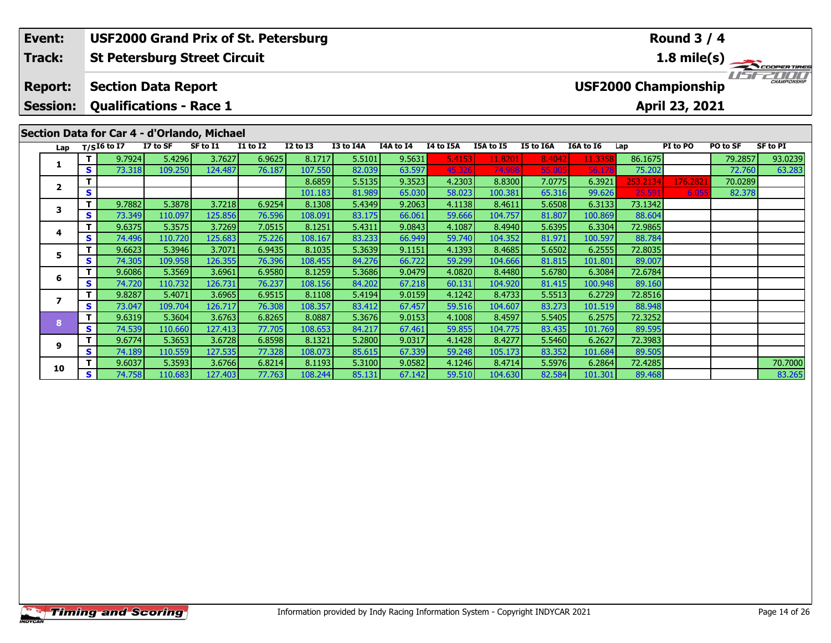**Session:Qualifications - Race 1**

# **Section Data for Car 4 - d'Orlando, Michael**

|              |    | ECUVII DALA IVI CAI T - U OHAHUV, MICHAEI |          |          |                 |              |           |           |           |           |           |           |          |          |          |          |
|--------------|----|-------------------------------------------|----------|----------|-----------------|--------------|-----------|-----------|-----------|-----------|-----------|-----------|----------|----------|----------|----------|
|              |    | Lap $T/SI6$ to I7                         | I7 to SF | SF to I1 | <b>I1 to I2</b> | $I2$ to $I3$ | I3 to I4A | I4A to I4 | I4 to I5A | I5A to I5 | I5 to I6A | I6A to I6 | Lap      | PI to PO | PO to SF | SF to PI |
|              | T. | 9.7924                                    | 5.4296   | 3.7627   | 6.9625          | 8.1717       | 5.5101    | 9.5631    | 5.4153    | 11.8201   | 8.4042    | 11.3358   | 86.1675  |          | 79.2857  | 93.0239  |
|              | S  | 73.318                                    | 109.250  | 124.487  | 76.187          | 107.550      | 82.039    | 63.597    | 45.326    | 74.988    | 55.005    | 56.17     | 75.202   |          | 72.760   | 63.283   |
| $\mathbf{2}$ | т  |                                           |          |          |                 | 8.6859       | 5.5135    | 9.3523    | 4.2303    | 8.8300    | 7.0775    | 6.3921    | 253.2134 | 176.2821 | 70.0289  |          |
|              | S  |                                           |          |          |                 | 101.183      | 81.989    | 65.030    | 58.023    | 100.381   | 65.316    | 99.626    | 25.591   | 6.055    | 82.378   |          |
| 3            | Т  | 9.7882                                    | 5.3878   | 3.7218   | 6.9254          | 8.1308       | 5.4349    | 9.2063    | 4.1138    | 8.4611    | 5.6508    | 6.3133    | 73.1342  |          |          |          |
|              | S  | 73.349                                    | 110.097  | 125.856  | 76.596          | 108.091      | 83.175    | 66.061    | 59.666    | 104.757   | 81.807    | 100.869   | 88.604   |          |          |          |
| 4            |    | 9.6375                                    | 5.3575   | 3.7269   | 7.0515          | 8.1251       | 5.4311    | 9.0843    | 4.1087    | 8.4940    | 5.6395    | 6.3304    | 72.9865  |          |          |          |
|              | S  | 74.496                                    | 110.720  | 125.683  | 75.226          | 108.167      | 83.233    | 66.949    | 59.740    | 104.352   | 81.971    | 100.597   | 88.784   |          |          |          |
| 5            |    | 9.6623                                    | 5.3946   | 3.7071   | 6.9435          | 8.1035       | 5.3639    | 9.1151    | 4.1393    | 8.4685    | 5.6502    | 6.2555    | 72.8035  |          |          |          |
|              | S  | 74.305                                    | 109.958  | 126.355  | 76.396          | 108.455      | 84.276    | 66.722    | 59.299    | 104.666   | 81.815    | 101.801   | 89.007   |          |          |          |
| 6            | т  | 9.6086                                    | 5.3569   | 3.6961   | 6.9580          | 8.1259       | 5.3686    | 9.0479    | 4.0820    | 8.4480    | 5.6780    | 6.3084    | 72.6784  |          |          |          |
|              | S  | 74.720                                    | 110.732  | 126.731  | 76.237          | 108.156      | 84.202    | 67.218    | 60.131    | 104.920   | 81.415    | 100.948   | 89.160   |          |          |          |
| 7            |    | 9.8287                                    | 5.4071   | 3.6965   | 6.9515          | 8.1108       | 5.4194    | 9.0159    | 4.1242    | 8.4733    | 5.5513    | 6.2729    | 72.8516  |          |          |          |
|              | S. | 73.047                                    | 109.704  | 126.717  | 76.308          | 108.357      | 83.412    | 67.457    | 59.516    | 104.607   | 83.273    | 101.519   | 88.948   |          |          |          |
| 8            | Т  | 9.6319                                    | 5.3604   | 3.6763   | 6.8265          | 8.0887       | 5.3676    | 9.0153    | 4.1008    | 8.4597    | 5.5405    | 6.2575    | 72.3252  |          |          |          |
|              | S  | 74.539                                    | 110.660  | 127.413  | 77.705          | 108.653      | 84.217    | 67.461    | 59.855    | 104.775   | 83.435    | 101.769   | 89.595   |          |          |          |
| 9            | т  | 9.6774                                    | 5.3653   | 3.6728   | 6.8598          | 8.1321       | 5.2800    | 9.0317    | 4.1428    | 8.4277    | 5.5460    | 6.2627    | 72.3983  |          |          |          |
|              | S  | 74.189                                    | 110.559  | 127.535  | 77.328          | 108.073      | 85.615    | 67.339    | 59.248    | 105.173   | 83.352    | 101.684   | 89.505   |          |          |          |
| 10           |    | 9.6037                                    | 5.3593   | 3.6766   | 6.8214          | 8.1193       | 5.3100    | 9.0582    | 4.1246    | 8.4714    | 5.5976    | 6.2864    | 72.4285  |          |          | 70.7000  |
|              | S. | 74.758                                    | 110.683  | 127.403  | 77.763          | 108.244      | 85.131    | 67.142    | 59.510    | 104.630   | 82.584    | 101.301   | 89.468   |          |          | 83.265   |

## **Round 3 / 4**

**1.8 mile(s)**

**April 23, 2021**

COOPERTIRES USFZOOD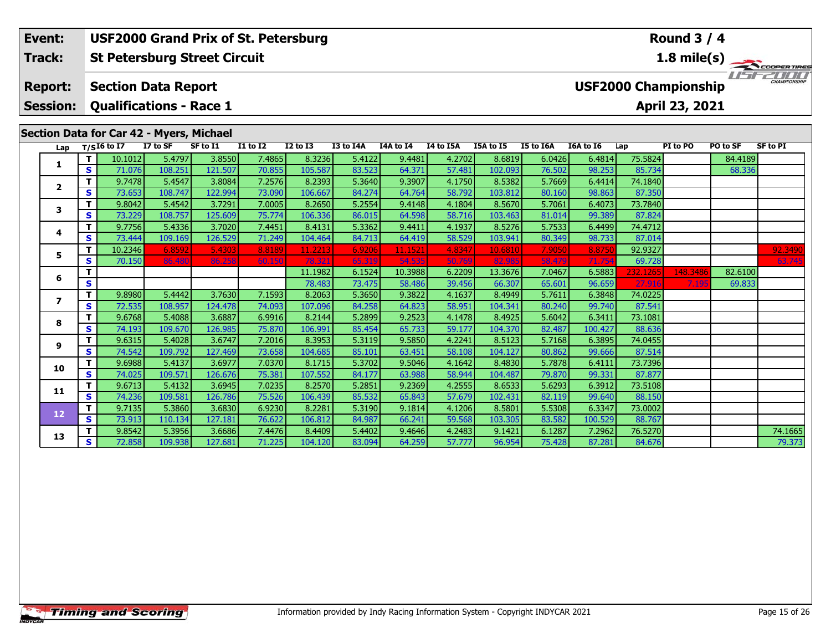#### **Event: USF2000 Grand Prix of St. Petersburg Round 3 / 4St Petersburg Street Circuit 1.8 mile(s) Track:** TEST ENTITY **Report: Section Data Report USF2000 Championship Qualifications - Race 1 Session:April 23, 2021**

### **Section Data for Car 42 - Myers, Michael**

| Lap                     |              | $T/SI6$ to I7 | I7 to SF | SF to I1 | <b>I1 to I2</b> | <b>I2 to I3</b> | I3 to I4A | <b>I4A to I4</b> | I4 to I5A | I5A to I5 | <b>I5 to I6A</b> | <b>I6A to 16</b> | Lap      | PI to PO | PO to SF | <b>SF to PI</b> |
|-------------------------|--------------|---------------|----------|----------|-----------------|-----------------|-----------|------------------|-----------|-----------|------------------|------------------|----------|----------|----------|-----------------|
|                         | Т            | 10.1012       | 5.4797   | 3.8550   | 7.4865          | 8.3236          | 5.4122    | 9.4481           | 4.2702    | 8.6819    | 6.0426           | 6.4814           | 75.5824  |          | 84.4189  |                 |
| 1                       | S            | 71.076        | 108.251  | 121.507  | 70.855          | 105.587         | 83.523    | 64.371           | 57.481    | 102.093   | 76.502           | 98.253           | 85.734   |          | 68.336   |                 |
| $\overline{\mathbf{2}}$ | T            | 9.7478        | 5.4547   | 3.8084   | 7.2576          | 8.2393          | 5.3640    | 9.3907           | 4.1750    | 8.5382    | 5.7669           | 6.4414           | 74.1840  |          |          |                 |
|                         | S            | 73.653        | 108.747  | 122.994  | 73.090          | 106.667         | 84.274    | 64.764           | 58.792    | 103.812   | 80.160           | 98.863           | 87.350   |          |          |                 |
| 3                       | Т            | 9.8042        | 5.4542   | 3.7291   | 7.0005          | 8.2650          | 5.2554    | 9.4148           | 4.1804    | 8.5670    | 5.7061           | 6.4073           | 73.7840  |          |          |                 |
|                         | S            | 73.229        | 108.757  | 125.609  | 75.774          | 106.336         | 86.015    | 64.598           | 58.716    | 103.463   | 81.014           | 99.389           | 87.824   |          |          |                 |
| 4                       | т            | 9.7756        | 5.4336   | 3.7020   | 7.4451          | 8.4131          | 5.3362    | 9.4411           | 4.1937    | 8.5276    | 5.7533           | 6.4499           | 74.4712  |          |          |                 |
|                         | S            | 73.444        | 109.169  | 126.529  | 71.249          | 104.464         | 84.713    | 64.419           | 58.529    | 103.941   | 80.349           | 98.733           | 87.014   |          |          |                 |
| 5                       | т            | 10.2346       | 6.8592   | 5.4303   | 8.8189          | 11.2213         | 6.9206    | 11.1521          | 4.8347    | 10.6810   | 7.9050           | 8.8750           | 92.9327  |          |          | 92.3490         |
|                         | S            | 70.150        | 86.480   | 86.258   | 60.150          | 78.321          | 65.319    | 54.535           | 50.769    | 82.985    | 58.479           | 71.754           | 69.728   |          |          | 63.745          |
| 6                       | т            |               |          |          |                 | 11.1982         | 6.1524    | 10.3988          | 6.2209    | 13.3676   | 7.0467           | 6.5883           | 232.1265 | 148.3486 | 82.6100  |                 |
|                         | S            |               |          |          |                 | 78.483          | 73.475    | 58.486           | 39.456    | 66.307    | 65.601           | 96.659           | 27.916   | 7.195    | 69.833   |                 |
| 7                       | т            | 9.8980        | 5.4442   | 3.7630   | 7.1593          | 8.2063          | 5.3650    | 9.3822           | 4.1637    | 8.4949    | 5.7611           | 6.3848           | 74.0225  |          |          |                 |
|                         | S            | 72.535        | 108.957  | 124.478  | 74.093          | 107.096         | 84.258    | 64.823           | 58.951    | 104.341   | 80.240           | 99.740           | 87.541   |          |          |                 |
| 8                       | Т            | 9.6768        | 5.4088   | 3.6887   | 6.9916          | 8.2144          | 5.2899    | 9.2523           | 4.1478    | 8.4925    | 5.6042           | 6.3411           | 73.1081  |          |          |                 |
|                         | S            | 74.193        | 109.670  | 126.985  | 75.870          | 106.991         | 85.454    | 65.733           | 59.177    | 104.370   | 82.487           | 100.427          | 88.636   |          |          |                 |
| 9                       | Т            | 9.6315        | 5.4028   | 3.6747   | 7.2016          | 8.3953          | 5.3119    | 9.5850           | 4.2241    | 8.5123    | 5.7168           | 6.3895           | 74.0455  |          |          |                 |
|                         | S            | 74.542        | 109.792  | 127.469  | 73.658          | 104.685         | 85.101    | 63.451           | 58.108    | 104.127   | 80.862           | 99.666           | 87.514   |          |          |                 |
| 10                      | т            | 9.6988        | 5.4137   | 3.6977   | 7.0370          | 8.1715          | 5.3702    | 9.5046           | 4.1642    | 8.4830    | 5.7878           | 6.4111           | 73.7396  |          |          |                 |
|                         | S            | 74.025        | 109.571  | 126.676  | 75.381          | 107.552         | 84.177    | 63.988           | 58.944    | 104.487   | 79.870           | 99.331           | 87.877   |          |          |                 |
| 11                      |              | 9.6713        | 5.4132   | 3.6945   | 7.0235          | 8.2570          | 5.2851    | 9.2369           | 4.2555    | 8.6533    | 5.6293           | 6.3912           | 73.5108  |          |          |                 |
|                         | s            | 74.236        | 109.581  | 126.786  | 75.526          | 106.439         | 85.532    | 65.843           | 57.679    | 102.431   | 82.119           | 99.640           | 88.150   |          |          |                 |
| 12                      | $\mathbf{T}$ | 9.7135        | 5.3860   | 3.6830   | 6.9230          | 8.2281          | 5.3190    | 9.1814           | 4.1206    | 8.5801    | 5.5308           | 6.3347           | 73.0002  |          |          |                 |
|                         | <b>S</b>     | 73.913        | 110.134  | 127.181  | 76.622          | 106.812         | 84.987    | 66.241           | 59.568    | 103.305   | 83.582           | 100.529          | 88.767   |          |          |                 |
| 13                      |              | 9.8542        | 5.3956   | 3.6686   | 7.4476          | 8.4409          | 5.4402    | 9.4646           | 4.2483    | 9.1421    | 6.1287           | 7.2962           | 76.5270  |          |          | 74.1665         |
|                         | S            | 72.858        | 109.938  | 127.681  | 71.225          | 104.120         | 83.094    | 64.259           | 57.777    | 96.954    | 75.428           | 87.281           | 84.676   |          |          | 79.373          |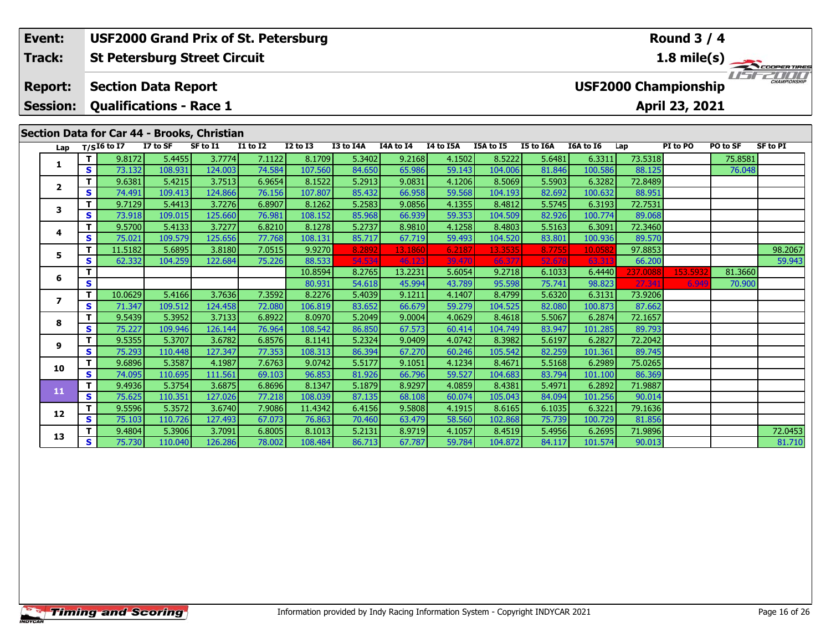#### **Event: USF2000 Grand Prix of St. Petersburg Round 3 / 4St Petersburg Street Circuit 1.8 mile(s) Track:** THE COOPER TIRES **Report: Section Data Report USF2000 Championship Qualifications - Race 1 Session:April 23, 2021**

### **Section Data for Car 44 - Brooks, Christian**

| Lap                     |   | $T/SI6$ to I7 | I7 to SF | SF to I1 | <b>I1 to I2</b> | <b>I2 to I3</b> | I3 to I4A | <b>I4A to I4</b> | I4 to I5A | I5A to I5 | I5 to I6A | <b>I6A to 16</b> | Lap      | PI to PO | PO to SF | <b>SF to PI</b> |
|-------------------------|---|---------------|----------|----------|-----------------|-----------------|-----------|------------------|-----------|-----------|-----------|------------------|----------|----------|----------|-----------------|
|                         |   | 9.8172        | 5.4455   | 3.7774   | 7.1122          | 8.1709          | 5.3402    | 9.2168           | 4.1502    | 8.5222    | 5.6481    | 6.3311           | 73.5318  |          | 75.8581  |                 |
| 1                       | S | 73.132        | 108.931  | 124.003  | 74.584          | 107.560         | 84.650    | 65.986           | 59.143    | 104.006   | 81.846    | 100.586          | 88.125   |          | 76.048   |                 |
| $\overline{\mathbf{2}}$ | т | 9.6381        | 5.4215   | 3.7513   | 6.9654          | 8.1522          | 5.2913    | 9.0831           | 4.1206    | 8.5069    | 5.5903    | 6.3282           | 72.8489  |          |          |                 |
|                         | s | 74.491        | 109.413  | 124.866  | 76.156          | 107.807         | 85.432    | 66.958           | 59.568    | 104.193   | 82.692    | 100.632          | 88.951   |          |          |                 |
| 3                       | т | 9.7129        | 5.4413   | 3.7276   | 6.8907          | 8.1262          | 5.2583    | 9.0856           | 4.1355    | 8.4812    | 5.5745    | 6.3193           | 72.7531  |          |          |                 |
|                         | S | 73.918        | 109.015  | 125.660  | 76.981          | 108.152         | 85.968    | 66.939           | 59.353    | 104.509   | 82.926    | 100.774          | 89.068   |          |          |                 |
| 4                       | т | 9.5700        | 5.4133   | 3.7277   | 6.8210          | 8.1278          | 5.2737    | 8.9810           | 4.1258    | 8.4803    | 5.5163    | 6.3091           | 72.3460  |          |          |                 |
|                         | S | 75.021        | 109.579  | 125.656  | 77.768          | 108.131         | 85.717    | 67.719           | 59.493    | 104.520   | 83.801    | 100.936          | 89.570   |          |          |                 |
| 5                       | т | 11.5182       | 5.6895   | 3.8180   | 7.0515          | 9.9270          | 8.2892    | 13.1860          | 6.2187    | 13.3535   | 8.7755    | 10.058           | 97.8853  |          |          | 98.2067         |
|                         | S | 62.332        | 104.259  | 122.684  | 75.226          | 88.533          | 54.534    | 46.123           | 39.470    | 66.377    | 52.678    | 63.31            | 66.200   |          |          | 59.943          |
| 6                       | т |               |          |          |                 | 10.8594         | 8.2765    | 13.2231          | 5.6054    | 9.2718    | 6.1033    | 6.4440           | 237.0088 | 153.5932 | 81.3660  |                 |
|                         | S |               |          |          |                 | 80.931          | 54.618    | 45.994           | 43.789    | 95.598    | 75.741    | 98.823           | 27.341   | 6.949    | 70.900   |                 |
| $\overline{\mathbf{z}}$ | т | 10.0629       | 5.4166   | 3.7636   | 7.3592          | 8.2276          | 5.4039    | 9.1211           | 4.1407    | 8.4799    | 5.6320    | 6.3131           | 73.9206  |          |          |                 |
|                         | S | 71.347        | 109.512  | 124.458  | 72.080          | 106.819         | 83.652    | 66.679           | 59.279    | 104.525   | 82.080    | 100.873          | 87.662   |          |          |                 |
| 8                       | т | 9.5439        | 5.3952   | 3.7133   | 6.8922          | 8.0970          | 5.2049    | 9.0004           | 4.0629    | 8.4618    | 5.5067    | 6.2874           | 72.1657  |          |          |                 |
|                         | S | 75.227        | 109.946  | 126.144  | 76.964          | 108.542         | 86.850    | 67.573           | 60.414    | 104.749   | 83.947    | 101.285          | 89.793   |          |          |                 |
| 9                       | т | 9.5355        | 5.3707   | 3.6782   | 6.8576          | 8.1141          | 5.2324    | 9.0409           | 4.0742    | 8.3982    | 5.6197    | 6.2827           | 72.2042  |          |          |                 |
|                         | s | 75.293        | 110.448  | 127.347  | 77.353          | 108.313         | 86.394    | 67.270           | 60.246    | 105.542   | 82.259    | 101.361          | 89.745   |          |          |                 |
| 10                      | т | 9.6896        | 5.3587   | 4.1987   | 7.6763          | 9.0742          | 5.5177    | 9.1051           | 4.1234    | 8.4671    | 5.5168    | 6.2989           | 75.0265  |          |          |                 |
|                         | S | 74.095        | 110.695  | 111.561  | 69.103          | 96.853          | 81.926    | 66.796           | 59.527    | 104.683   | 83.794    | 101.100          | 86.369   |          |          |                 |
| 11                      | т | 9.4936        | 5.3754   | 3.6875   | 6.8696          | 8.1347          | 5.1879    | 8.9297           | 4.0859    | 8.4381    | 5.4971    | 6.2892           | 71.9887  |          |          |                 |
|                         | S | 75.625        | 110.351  | 127.026  | 77.218          | 108.039         | 87.135    | 68.108           | 60.074    | 105.043   | 84.094    | 101.256          | 90.014   |          |          |                 |
| 12                      | т | 9.5596        | 5.3572   | 3.6740   | 7.9086          | 11.4342         | 6.4156    | 9.5808           | 4.1915    | 8.6165    | 6.1035    | 6.3221           | 79.1636  |          |          |                 |
|                         | S | 75.103        | 110.726  | 127.493  | 67.073          | 76.863          | 70.460    | 63.479           | 58.560    | 102.868   | 75.739    | 100.729          | 81.856   |          |          |                 |
| 13                      |   | 9.4804        | 5.3906   | 3.7091   | 6.8005          | 8.1013          | 5.2131    | 8.9719           | 4.1057    | 8.4519    | 5.4956    | 6.2695           | 71.9896  |          |          | 72.0453         |
|                         | S | 75.730        | 110.040  | 126.286  | 78.002          | 108.484         | 86.713    | 67.787           | 59.784    | 104.872   | 84.117    | 101.574          | 90.013   |          |          | 81.710          |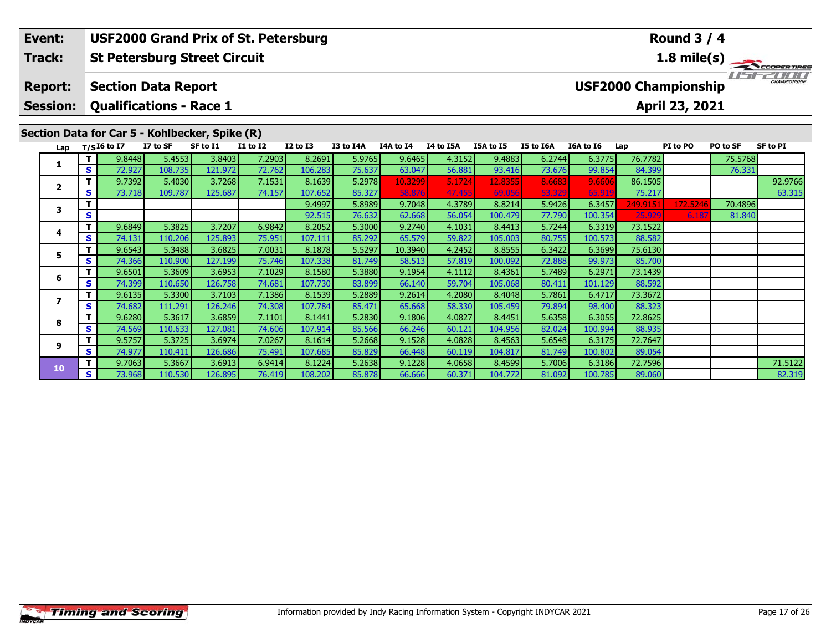#### **Round 3 / 4Event: USF2000 Grand Prix of St. Petersburg Track:St Petersburg Street Circuit 1.8 mile(s)** 15221111 **Report: Section Data Report USF2000 Championship Session: Qualifications - Race 1 April 23, 2021 Section Data for Car 5 - Kohlbecker, Spike (R)**<br>Lap  $\frac{7}{5}$  17 to SF 5 to 11 11 to 11 **Lap T/SI6 to I7 I7 to SF SF to I1 I1 to I2 I2 to I3 I3 to I4A I4A to I4 I4 to I5A I5A to I5 I5 to I6A I6A to I6 Lap PI to PO PO to SF SF to PI <sup>T</sup>** 9.8448 5.4553 3.8403 7.2903 8.2691 5.9765 9.6465 4.3152 9.4883 6.2744 6.3775 76.7782 75.5768 **<sup>S</sup>** 72.927 108.735 121.972 72.762 106.283 75.637 63.047 56.881 93.416 73.676 99.854 84.399 76.331**1 <sup>T</sup>** 9.7392 5.4030 3.7268 7.1531 8.1639 5.2978 10.3299 5.1724 12.8355 8.6683 9.6606 86.1505 92.9766 **<sup>S</sup>** 73.718 109.787 125.687 74.157 107.652 85.327 58.876 47.455 69.056 53.329 65.919 75.217 63.315**2**63.315 **<sup>T</sup>** 9.4997 5.8989 9.7048 4.3789 8.8214 5.9426 6.3457 249.9151 172.5246 70.4896 **<sup>S</sup>** 92.515 76.632 62.668 56.054 100.479 77.790 100.354 25.929 6.187 81.840**3**81.840

|    |    | 9.68491 | 5.38251 | 3.72071  | 6.98421  | 8.2052  | 5.3000 | 9.27401 | 4.10311 | 8.44131 | 5.7244 | 6.33191 | 73.15221 |  |         |
|----|----|---------|---------|----------|----------|---------|--------|---------|---------|---------|--------|---------|----------|--|---------|
|    | S. | 74.131  | 110.206 | 125.893  | 75.951   | 107.111 | 85.292 | 65.579  | 59.822  | 105.003 | 80.755 | 100.573 | 88.582   |  |         |
|    |    | 9.6543  | 5.3488  | 3.6825   | 7.0031   | 8.1878  | 5.5297 | 10.3940 | 4.2452  | 8.8555  | 6.3422 | 6.3699  | 75.6130  |  |         |
|    | S. | 74.366  | 110.900 | 127.1991 | 75.746   | 107.338 | 81.749 | 58.513  | 57.819  | 100.092 | 72.888 | 99.973  | 85.700   |  |         |
|    |    | 9.6501  | 5.3609  | 3.6953   | 7.1029   | 8.1580  | 5.3880 | 9.1954  | 4.1112  | 8.4361  | 5.7489 | 6.2971  | 73.1439  |  |         |
|    | S. | 74.399  | 110.650 | 126.758  | 74.681   | 107.730 | 83.899 | 66.140  | 59.704  | 105.068 | 80.411 | 101.129 | 88.592   |  |         |
|    |    | 9.6135  | 5.3300  | 3.7103   | 7.1386   | 8.1539  | 5.2889 | 9.2614  | 4.2080  | 8.4048  | 5.7861 | 6.4717  | 73.3672  |  |         |
|    | S. | 74.682  | 111.291 | 126.246  | 74.308   | 107.784 | 85.471 | 65.668  | 58.330  | 105.459 | 79.894 | 98.400  | 88.323   |  |         |
|    |    | 9.6280  | 5.3617  | 3.6859   | 7.1101   | 8.1441  | 5.2830 | 9.1806  | 4.0827  | 8.4451  | 5.6358 | 6.3055  | 72.8625  |  |         |
|    | S. | 74.569  | 110.633 | 127.081  | 74.606   | 107.914 | 85.566 | 66.246  | 60.121  | 104.956 | 82.024 | 100.994 | 88.935   |  |         |
| 9  |    | 9.5757  | 5.3725  | 3.6974   | 7.0267   | 8.1614  | 5.2668 | 9.1528  | 4.0828  | 8.4563  | 5.6548 | 6.3175  | 72.7647  |  |         |
|    | S. | 74.977  | 110.411 | 126.686  | 75.491   | 107.685 | 85.829 | 66.448  | 60.119  | 104.817 | 81.749 | 100.802 | 89.054   |  |         |
| 10 |    | 9.7063  | 5.3667  | 3.6913   | 6.9414   | 8.1224  | 5.2638 | 9.1228  | 4.0658  | 8.4599  | 5.7006 | 6.3186  | 72.7596  |  | 71.5122 |
|    | S. | 73.968  | 110.530 | 126.8951 | 76.419 l | 108.202 | 85.878 | 66.666  | 60.371  | 104.772 | 81.092 | 100.785 | 89.060   |  | 82.319  |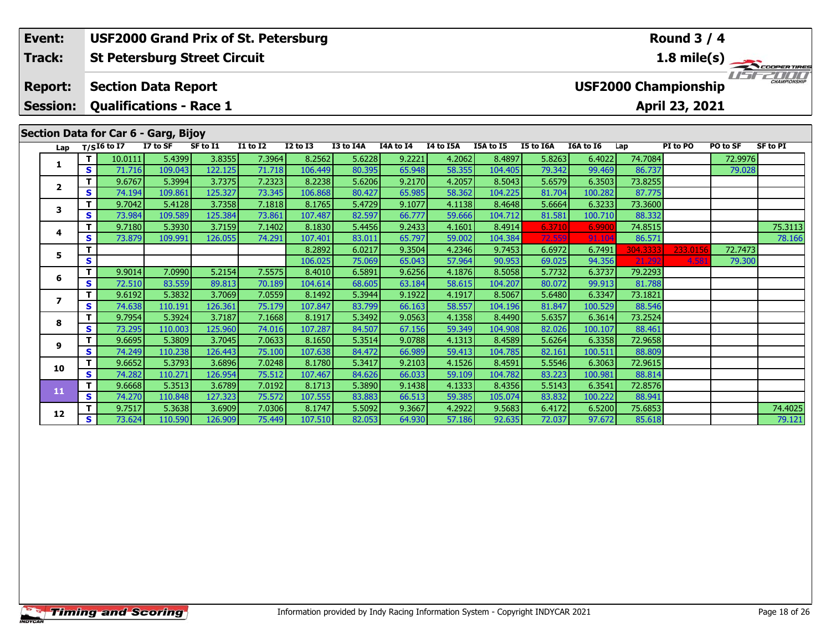**Session:Qualifications - Race 1**

### **Section Data for Car 6 - Garg, Bijoy**

|                | Lap |   | $T/SI6$ to I7 | I7 to SF | SF to I1 | <b>I1 to I2</b> | <b>I2 to I3</b> | I3 to I4A | <b>I4A to I4</b> | I4 to I5A | <b>I5A to I5</b> | I5 to I6A | I6A to I6 | Lap      | PI to PO | PO to SF | <b>SF to PI</b> |
|----------------|-----|---|---------------|----------|----------|-----------------|-----------------|-----------|------------------|-----------|------------------|-----------|-----------|----------|----------|----------|-----------------|
|                |     |   | 10.0111       | 5.4399   | 3.8355   | 7.3964          | 8.2562          | 5.6228    | 9.2221           | 4.2062    | 8.4897           | 5.8263    | 6.4022    | 74.7084  |          | 72.9976  |                 |
|                |     | S | 71.716        | 109.043  | 122.125  | 71.718          | 106.449         | 80.395    | 65.948           | 58.355    | 104.405          | 79.342    | 99.469    | 86.737   |          | 79.028   |                 |
| $\overline{2}$ |     | т | 9.6767        | 5.3994   | 3.7375   | 7.2323          | 8.2238          | 5.6206    | 9.2170           | 4.2057    | 8.5043           | 5.6579    | 6.3503    | 73.8255  |          |          |                 |
|                |     | S | 74.194        | 109.861  | 125.327  | 73.345          | 106.868         | 80.427    | 65.985           | 58.362    | 104.225          | 81.704    | 100.282   | 87.775   |          |          |                 |
| 3              |     |   | 9.7042        | 5.4128   | 3.7358   | 7.1818          | 8.1765          | 5.4729    | 9.1077           | 4.1138    | 8.4648           | 5.6664    | 6.3233    | 73.3600  |          |          |                 |
|                |     | s | 73.984        | 109.589  | 125.384  | 73.861          | 107.487         | 82.597    | 66.777           | 59.666    | 104.712          | 81.581    | 100.710   | 88.332   |          |          |                 |
| 4              |     | т | 9.7180        | 5.3930   | 3.7159   | 7.1402          | 8.1830          | 5.4456    | 9.2433           | 4.1601    | 8.4914           | 6.3710    | 6.9900    | 74.8515  |          |          | 75.3113         |
|                |     | S | 73.879        | 109.991  | 126.055  | 74.291          | 107.401         | 83.011    | 65.797           | 59.002    | 104.384          | 72.559    | 91.104    | 86.571   |          |          | 78.166          |
| 5              |     |   |               |          |          |                 | 8.2892          | 6.0217    | 9.3504           | 4.2346    | 9.7453           | 6.6972    | 6.7491    | 304.3333 | 233.0156 | 72.7473  |                 |
|                |     | S |               |          |          |                 | 106.025         | 75.069    | 65.043           | 57.964    | 90.953           | 69.025    | 94.356    | 21.292   | 4.58     | 79.300   |                 |
| -6             |     |   | 9.9014        | 7.0990   | 5.2154   | 7.5575          | 8.4010          | 6.5891    | 9.6256           | 4.1876    | 8.5058           | 5.7732    | 6.3737    | 79.2293  |          |          |                 |
|                |     | S | 72.510        | 83.559   | 89.813   | 70.189          | 104.614         | 68.605    | 63.184           | 58.615    | 104.207          | 80.072    | 99.913    | 81.788   |          |          |                 |
| 7              |     |   | 9.6192        | 5.3832   | 3.7069   | 7.0559          | 8.1492          | 5.3944    | 9.1922           | 4.1917    | 8.5067           | 5.6480    | 6.3347    | 73.1821  |          |          |                 |
|                |     | s | 74.638        | 110.191  | 126.361  | 75.179          | 107.847         | 83.799    | 66.163           | 58.557    | 104.196          | 81.847    | 100.529   | 88.546   |          |          |                 |
| 8              |     | т | 9.7954        | 5.3924   | 3.7187   | 7.1668          | 8.1917          | 5.3492    | 9.0563           | 4.1358    | 8.4490           | 5.6357    | 6.3614    | 73.2524  |          |          |                 |
|                |     | s | 73.295        | 110.003  | 125.960  | 74.016          | 107.287         | 84.507    | 67.156           | 59.349    | 104.908          | 82.026    | 100.107   | 88.461   |          |          |                 |
| 9              |     |   | 9.6695        | 5.3809   | 3.7045   | 7.0633          | 8.1650          | 5.3514    | 9.0788           | 4.1313    | 8.4589           | 5.6264    | 6.3358    | 72.9658  |          |          |                 |
|                |     | S | 74.249        | 110.238  | 126.443  | 75.100          | 107.638         | 84.472    | 66.989           | 59.413    | 104.785          | 82.161    | 100.511   | 88.809   |          |          |                 |
| 10             |     |   | 9.6652        | 5.3793   | 3.6896   | 7.0248          | 8.1780          | 5.3417    | 9.2103           | 4.1526    | 8.4591           | 5.5546    | 6.3063    | 72.9615  |          |          |                 |
|                |     | S | 74.282        | 110.271  | 126.954  | 75.512          | 107.467         | 84.626    | 66.033           | 59.109    | 104.782          | 83.223    | 100.981   | 88.814   |          |          |                 |
| 11             |     |   | 9.6668        | 5.3513   | 3.6789   | 7.0192          | 8.1713          | 5.3890    | 9.1438           | 4.1333    | 8.4356           | 5.5143    | 6.3541    | 72.8576  |          |          |                 |
|                |     | S | 74.270        | 110.848  | 127.323  | 75.572          | 107.555         | 83.883    | 66.513           | 59.385    | 105.074          | 83.832    | 100.222   | 88.941   |          |          |                 |
| 12             |     |   | 9.7517        | 5.3638   | 3.6909   | 7.0306          | 8.1747          | 5.5092    | 9.3667           | 4.2922    | 9.5683           | 6.4172    | 6.5200    | 75.6853  |          |          | 74.4025         |
|                |     | S | 73.624        | 110.590  | 126.909  | 75.449          | 107.510         | 82.053    | 64.930           | 57.186    | 92.635           | 72.037    | 97.672    | 85.618   |          |          | 79.121          |

### **Round 3 / 4**

**April 23, 2021**

**1.8 mile(s)**

**COOPERTIRES**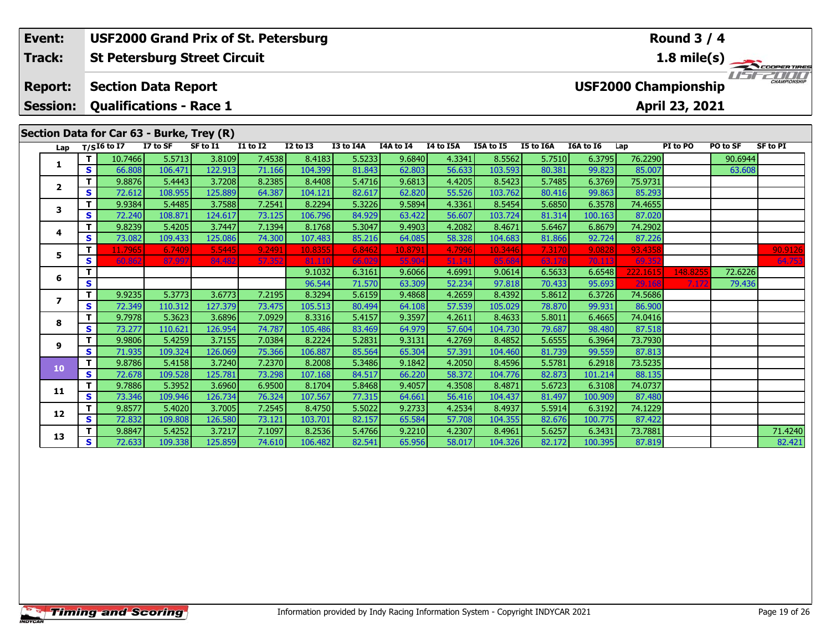### **Round 3 / 4Event: USF2000 Grand Prix of St. Petersburg Track:St Petersburg Street Circuit 1.8 mile(s)** 15152000 **Report: Section Data Report USF2000 Championship Session: Qualifications - Race 1 April 23, 2021 Section Data for Car 63 - Burke, Trey (R)**<br>Lap T/SI6 to I7 I7 to SF SF to I1 **Lap T/SI6 to I7 I7 to SF SF to I1 I1 to I2 I2 to I3 I3 to I4A I4A to I4 I4 to I5A I5A to I5 I5 to I6A I6A to I6 Lap PI to PO PO to SF SF to PI <sup>T</sup>** 10.7466 5.5713 3.8109 7.4538 8.4183 5.5233 9.6840 4.3341 8.5562 5.7510 6.3795 76.2290 90.6944 **<sup>S</sup>** 66.808 106.471 122.913 71.166 104.399 81.843 62.803 56.633 103.593 80.381 99.823 85.007 63.608**1 <sup>T</sup>** 9.8876 5.4443 3.7208 8.2385 8.4408 5.4716 9.6813 4.4205 8.5423 5.7485 6.3769 75.9731 **<sup>S</sup>** 72.612 108.955 125.889 64.387 104.121 82.617 62.820 55.526 103.762 80.416 99.863 85.293**2**

|                         |    | 9.8876  | 5.4443  | 3.7208  | 8.2385 | 8.4408  | 5.4716 | 9.6813  | 4.4205 | 8.5423  | 5.7485 | 6.3769  | 75.9731  |         |         |         |
|-------------------------|----|---------|---------|---------|--------|---------|--------|---------|--------|---------|--------|---------|----------|---------|---------|---------|
| $\overline{\mathbf{2}}$ | s  | 72.612  | 108.955 | 125.889 | 64.387 | 104.121 | 82.617 | 62.820  | 55.526 | 103.762 | 80.416 | 99.863  | 85.293   |         |         |         |
|                         |    | 9.9384  | 5.4485  | 3.7588  | 7.2541 | 8.2294  | 5.3226 | 9.5894  | 4.3361 | 8.5454  | 5.6850 | 6.3578  | 74.4655  |         |         |         |
| з                       | s  | 72.240  | 108.871 | 124.617 | 73.125 | 106.796 | 84.929 | 63.422  | 56.607 | 103.724 | 81.314 | 100.163 | 87.020   |         |         |         |
| 4                       | т  | 9.8239  | 5.4205  | 3.7447  | 7.1394 | 8.1768  | 5.3047 | 9.4903  | 4.2082 | 8.4671  | 5.6467 | 6.8679  | 74.2902  |         |         |         |
|                         | s  | 73.082  | 109.433 | 125.086 | 74.300 | 107.483 | 85.216 | 64.085  | 58.328 | 104.683 | 81.866 | 92.724  | 87.226   |         |         |         |
| 5                       | Τ. | 11.7965 | 6.7409  | 5.5445  | 9.2491 | 10.8355 | 6.8462 | 10.8791 | 4.7996 | 10.3446 | 7.3170 | 9.0828  | 93.4358  |         |         | 90.9126 |
|                         | s  | 60.862  | 87.997  | 84.482  | 57.352 | 81.110  | 66.029 | 55.904  | 51.141 | 85.684  | 63.178 | 70.113  | 69.352   |         |         | 64.753  |
| 6                       |    |         |         |         |        | 9.1032  | 6.3161 | 9.6066  | 4.6991 | 9.0614  | 6.5633 | 6.6548  | 222.1615 | 148.825 | 72.6226 |         |
|                         | S  |         |         |         |        | 96.544  | 71.570 | 63.309  | 52.234 | 97.818  | 70.433 | 95.693  | 29.168   | 7.172   | 79.436  |         |
| $\overline{\mathbf{z}}$ |    | 9.9235  | 5.3773  | 3.6773  | 7.2195 | 8.3294  | 5.6159 | 9.4868  | 4.2659 | 8.4392  | 5.8612 | 6.3726  | 74.5686  |         |         |         |
|                         | S  | 72.349  | 110.312 | 127.379 | 73.475 | 105.513 | 80.494 | 64.108  | 57.539 | 105.029 | 78.870 | 99.931  | 86.900   |         |         |         |
| 8                       |    | 9.7978  | 5.3623  | 3.6896  | 7.0929 | 8.3316  | 5.4157 | 9.3597  | 4.2611 | 8.4633  | 5.8011 | 6.4665  | 74.0416  |         |         |         |
|                         | S  | 73.277  | 110.621 | 126.954 | 74.787 | 105.486 | 83.469 | 64.979  | 57.604 | 104.730 | 79.687 | 98.480  | 87.518   |         |         |         |
| 9                       |    | 9.9806  | 5.4259  | 3.7155  | 7.0384 | 8.2224  | 5.2831 | 9.3131  | 4.2769 | 8.4852  | 5.6555 | 6.3964  | 73.7930  |         |         |         |
|                         | s  | 71.935  | 109.324 | 126.069 | 75.366 | 106.887 | 85.564 | 65.304  | 57.391 | 104.460 | 81.739 | 99.559  | 87.813   |         |         |         |
|                         |    | 9.8786  | 5.4158  | 3.7240  | 7.2370 | 8.2008  | 5.3486 | 9.1842  | 4.2050 | 8.4596  | 5.5781 | 6.2918  | 73.5235  |         |         |         |
| 10                      | S  | 72.678  | 109.528 | 125.781 | 73.298 | 107.168 | 84.517 | 66.220  | 58.372 | 104.776 | 82.873 | 101.214 | 88.135   |         |         |         |
| 11                      | т  | 9.7886  | 5.3952  | 3.6960  | 6.9500 | 8.1704  | 5.8468 | 9.4057  | 4.3508 | 8.4871  | 5.6723 | 6.3108  | 74.0737  |         |         |         |
|                         | S  | 73.346  | 109.946 | 126.734 | 76.324 | 107.567 | 77.315 | 64.661  | 56.416 | 104.437 | 81.497 | 100.909 | 87.480   |         |         |         |
|                         | т  | 9.8577  | 5.4020  | 3.7005  | 7.2545 | 8.4750  | 5.5022 | 9.2733  | 4.2534 | 8.4937  | 5.5914 | 6.3192  | 74.1229  |         |         |         |
| 12                      | S  | 72.832  | 109.808 | 126.580 | 73.121 | 103.701 | 82.157 | 65.584  | 57.708 | 104.355 | 82.676 | 100.775 | 87.422   |         |         |         |
|                         | т  | 9.8847  | 5.4252  | 3.7217  | 7.1097 | 8.2536  | 5.4766 | 9.2210  | 4.2307 | 8.4961  | 5.6257 | 6.3431  | 73.7881  |         |         | 71.4240 |
| 13                      | S. | 72.633  | 109.338 | 125.859 | 74.610 | 106.482 | 82.541 | 65.956  | 58.017 | 104.326 | 82.172 | 100.395 | 87.819   |         |         | 82.421  |
|                         |    |         |         |         |        |         |        |         |        |         |        |         |          |         |         |         |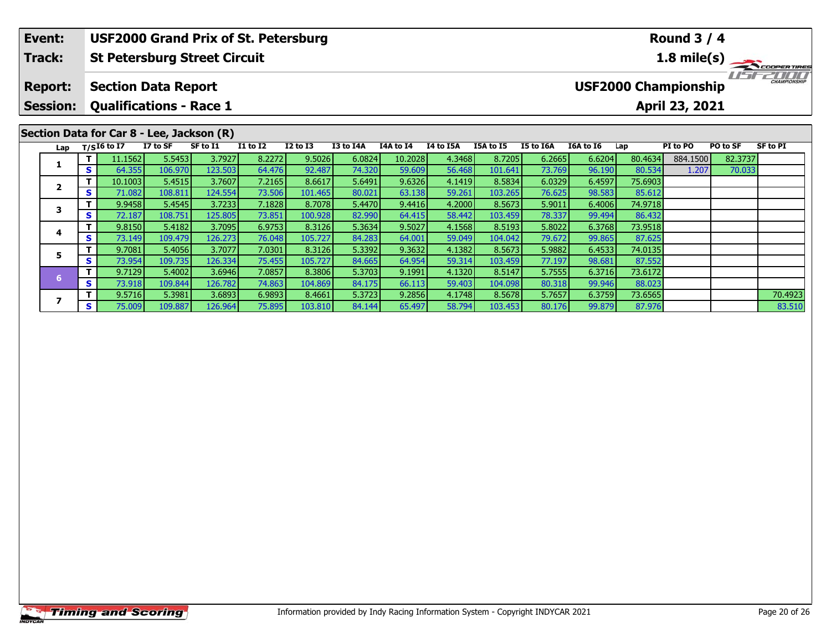#### **Event:Round 3 / 4 USF2000 Grand Prix of St. Petersburg Track:St Petersburg Street Circuit 1.8 mile(s)** 11515211111 **Report: Section Data Report USF2000 Championship Session: Qualifications - Race 1 April 23, 2021 Section Data for Car 8 - Lee, Jackson (R)**

**<sup>T</sup>** 11.1562 5.5453 3.7927 8.2272 9.5026 6.0824 10.2028 4.3468 8.7205 6.2665 6.6204 80.4634 884.1500 82.3737 **<sup>S</sup>** 64.355 106.970 123.503 64.476 92.487 74.320 59.609 56.468 101.641 73.769 96.190 80.534 1.207 70.033

**<sup>T</sup>** 10.1003 5.4515 3.7607 7.2165 8.6617 5.6491 9.6326 4.1419 8.5834 6.0329 6.4597 75.6903 **<sup>S</sup>** 71.082 108.811 124.554 73.506 101.465 80.021 63.138 59.261 103.265 76.625 98.583 85.612

**<sup>T</sup>** 9.9458 5.4545 3.7233 7.1828 8.7078 5.4470 9.4416 4.2000 8.5673 5.9011 6.4006 74.9718 **<sup>S</sup>** 72.187 108.751 125.805 73.851 100.928 82.990 64.415 58.442 103.459 78.337 99.494 86.432

**<sup>T</sup>** 9.8150 5.4182 3.7095 6.9753 8.3126 5.3634 9.5027 4.1568 8.5193 5.8022 6.3768 73.9518 **<sup>S</sup>** 73.149 109.479 126.273 76.048 105.727 84.283 64.001 59.049 104.042 79.672 99.865 87.625

**<sup>T</sup>** 9.7081 5.4056 3.7077 7.0301 8.3126 5.3392 9.3632 4.1382 8.5673 5.9882 6.4533 74.0135 **<sup>S</sup>** 73.954 109.735 126.334 75.455 105.727 84.665 64.954 59.314 103.459 77.197 98.681 87.552

**<sup>T</sup>** 9.7129 5.4002 3.6946 7.0857 8.3806 5.3703 9.1991 4.1320 8.5147 5.7555 6.3716 73.6172 **<sup>S</sup>** 73.918 109.844 126.782 74.863 104.869 84.175 66.113 59.403 104.098 80.318 99.946 88.023

**Lap T/SI6 to I7 I7 to SF SF to I1 I1 to I2 I2 to I3 I3 to I4A I4A to I4 I4 to I5A I5A to I5 I5 to I6A I6A to I6 Lap PI to PO PO to SF SF to PI** 

**<sup>T</sup>** 9.5716 5.3981 3.6893 6.9893 8.4661 5.3723 9.2856 4.1748 8.5678 5.7657 6.3759 73.6565 70.4923 **<sup>S</sup>** 75.009 109.887 126.964 75.895 103.810 84.144 65.497 58.794 103.453 80.176 99.879 87.976 83.510

**1**

**2**

**3**

**4**

**5**

**6**

**7**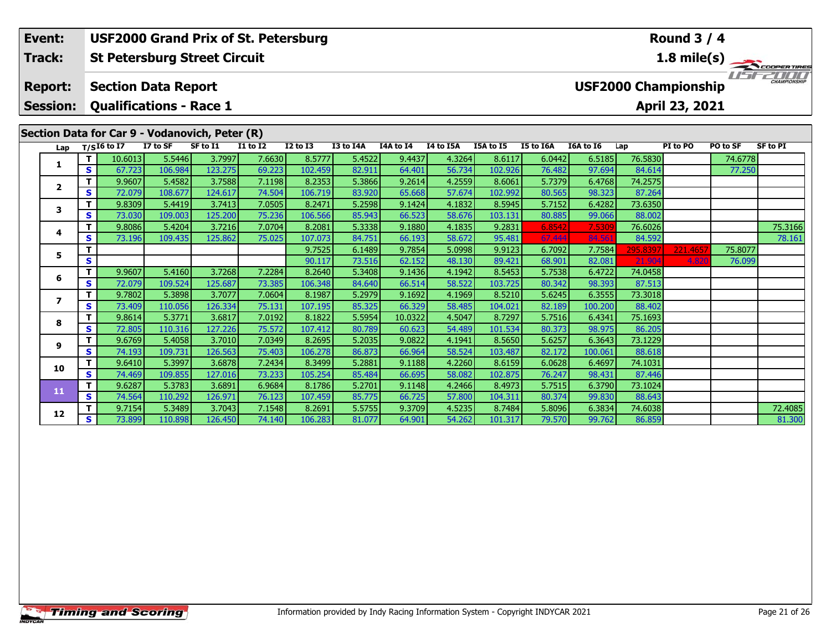### **Round 3 / 4Event: USF2000 Grand Prix of St. Petersburg St Petersburg Street Circuit 1.8 mile(s) Track:**USE2000 **Report: Section Data Report USF2000 Championship Session: Qualifications - Race 1 April 23, 2021 Section Data for Car 9 - Vodanovich, Peter (R) Lap T/SI6 to I7 I7 to SF SF to I1 I1 to I2 I2 to I3 I3 to I4A I4A to I4 I4 to I5A I5A to I5 I5 to I6A I6A to I6 Lap PI to PO PO to SF SF to PI <sup>T</sup>** 10.6013 5.5446 3.7997 7.6630 8.5777 5.4522 9.4437 4.3264 8.6117 6.0442 6.5185 76.5830 74.6778 **<sup>S</sup>** 67.723 106.984 123.275 69.223 102.459 82.911 64.401 56.734 102.926 76.482 97.694 84.614 77.250**1 <sup>T</sup>** 9.9607 5.4582 3.7588 7.1198 8.2353 5.3866 9.2614 4.2559 8.6061 5.7379 6.4768 74.2575 **<sup>S</sup>** 72.079 108.677 124.617 74.504 106.719 83.920 65.668 57.674 102.992 80.565 98.323 87.264**2 <sup>T</sup>** 9.8309 5.4419 3.7413 7.0505 8.2471 5.2598 9.1424 4.1832 8.5945 5.7152 6.4282 73.6350 **<sup>S</sup>** 73.030 109.003 125.200 75.236 106.566 85.943 66.523 58.676 103.131 80.885 99.066 88.002**3 <sup>T</sup>** 9.8086 5.4204 3.7216 7.0704 8.2081 5.3338 9.1880 4.1835 9.2831 6.8542 7.5309 76.6026 75.3166 **<sup>S</sup>** 73.196 109.435 125.862 75.025 107.073 84.751 66.193 58.672 95.481 67.444 84.561 84.592 78.161**4**78.161 **<sup>T</sup>** 9.7525 6.1489 9.7854 5.0998 9.9123 6.7092 7.7584 295.8397 221.4657 75.8077 **<sup>S</sup>** 90.117 73.516 62.152 48.130 89.421 68.901 82.081 21.904 4.820 76.099**5**

**<sup>T</sup>** 9.9607 5.4160 3.7268 7.2284 8.2640 5.3408 9.1436 4.1942 8.5453 5.7538 6.4722 74.0458 **<sup>S</sup>** 72.079 109.524 125.687 73.385 106.348 84.640 66.514 58.522 103.725 80.342 98.393 87.513

**<sup>T</sup>** 9.7802 5.3898 3.7077 7.0604 8.1987 5.2979 9.1692 4.1969 8.5210 5.6245 6.3555 73.3018 **<sup>S</sup>** 73.409 110.056 126.334 75.131 107.195 85.325 66.329 58.485 104.021 82.189 100.200 88.402

**<sup>T</sup>** 9.8614 5.3771 3.6817 7.0192 8.1822 5.5954 10.0322 4.5047 8.7297 5.7516 6.4341 75.1693 **<sup>S</sup>** 72.805 110.316 127.226 75.572 107.412 80.789 60.623 54.489 101.534 80.373 98.975 86.205

**<sup>T</sup>** 9.6769 5.4058 3.7010 7.0349 8.2695 5.2035 9.0822 4.1941 8.5650 5.6257 6.3643 73.1229 **<sup>S</sup>** 74.193 109.731 126.563 75.403 106.278 86.873 66.964 58.524 103.487 82.172 100.061 88.618

**<sup>T</sup>** 9.6410 5.3997 3.6878 7.2434 8.3499 5.2881 9.1188 4.2260 8.6159 6.0628 6.4697 74.1031 **<sup>S</sup>** 74.469 109.855 127.016 73.233 105.254 85.484 66.695 58.082 102.875 76.247 98.431 87.446

**<sup>T</sup>** 9.6287 5.3783 3.6891 6.9684 8.1786 5.2701 9.1148 4.2466 8.4973 5.7515 6.3790 73.1024 **<sup>S</sup>** 74.564 110.292 126.971 76.123 107.459 85.775 66.725 57.800 104.311 80.374 99.830 88.643

**6**

**7**

**8**

**9**

**10**

**11**

**12**

**<sup>T</sup>** 9.7154 5.3489 3.7043 7.1548 8.2691 5.5755 9.3709 4.5235 8.7484 5.8096 6.3834 74.6038 72.4085 **<sup>S</sup>** 73.899 110.898 126.450 74.140 106.283 81.077 64.901 54.262 101.317 79.570 99.762 86.859 81.300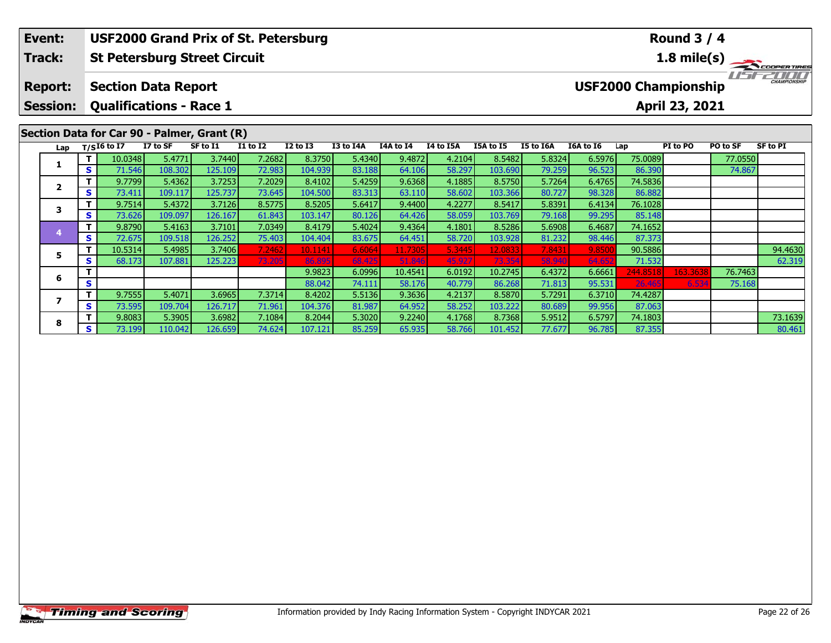#### **Event:Round 3 / 4 USF2000 Grand Prix of St. Petersburg Track:St Petersburg Street Circuit 1.8 mile(s)** 15221111 **Report: Section Data Report USF2000 Championship Session: Qualifications - Race 1 April 23, 2021 Section Data for Car 90 - Palmer, Grant (R) Lap T/SI6 to I7 I7 to SF SF to I1 I1 to I2 I2 to I3 I3 to I4A I4A to I4 I4 to I5A I5A to I5 I5 to I6A I6A to I6 Lap PI to PO PO to SF SF to PI**

**<sup>T</sup>** 10.0348 5.4771 3.7440 7.2682 8.3750 5.4340 9.4872 4.2104 8.5482 5.8324 6.5976 75.0089 77.0550 **<sup>S</sup>** 71.546 108.302 125.109 72.983 104.939 83.188 64.106 58.297 103.690 79.259 96.523 86.390 74.867

**<sup>T</sup>** 9.9823 6.0996 10.4541 6.0192 10.2745 6.4372 6.6661 244.8518 163.3638 76.7463 **<sup>S</sup>** 88.042 74.111 58.176 40.779 86.268 71.813 95.531 26.465 6.534 75.168

5 T 10.5314 5.4985 3.7406 7.2462 10.1141 6.6064 11.7305 5.3445 12.0833 7.8431 9.8500 90.5886 94.4630<br>S S 68.173 107.881 125.223 73.205 86.895 68.425 51.846 45.927 73.354 58.940 64.652 71.532

**<sup>T</sup>** 9.8083 5.3905 3.6982 7.1084 8.2044 5.3020 9.2240 4.1768 8.7368 5.9512 6.5797 74.1803 73.1639 **<sup>S</sup>** 73.199 110.042 126.659 74.624 107.121 85.259 65.935 58.766 101.452 77.677 96.785 87.355 80.461

**<sup>T</sup>** 9.7799 5.4362 3.7253 7.2029 8.4102 5.4259 9.6368 4.1885 8.5750 5.7264 6.4765 74.5836 **<sup>S</sup>** 73.411 109.117 125.737 73.645 104.500 83.313 63.110 58.602 103.366 80.727 98.328 86.882

**<sup>T</sup>** 9.7514 5.4372 3.7126 8.5775 8.5205 5.6417 9.4400 4.2277 8.5417 5.8391 6.4134 76.1028 **<sup>S</sup>** 73.626 109.097 126.167 61.843 103.147 80.126 64.426 58.059 103.769 79.168 99.295 85.148

**<sup>T</sup>** 9.8790 5.4163 3.7101 7.0349 8.4179 5.4024 9.4364 4.1801 8.5286 5.6908 6.4687 74.1652 **<sup>S</sup>** 72.675 109.518 126.252 75.403 104.404 83.675 64.451 58.720 103.928 81.232 98.446 87.373

**<sup>T</sup>** 9.7555 5.4071 3.6965 7.3714 8.4202 5.5136 9.3636 4.2137 8.5870 5.7291 6.3710 74.4287 **<sup>S</sup>** 73.595 109.704 126.717 71.961 104.376 81.987 64.952 58.252 103.222 80.689 99.956 87.063

**1**

**2**

**3**

**4**

**5**

**6**

**7**

**8**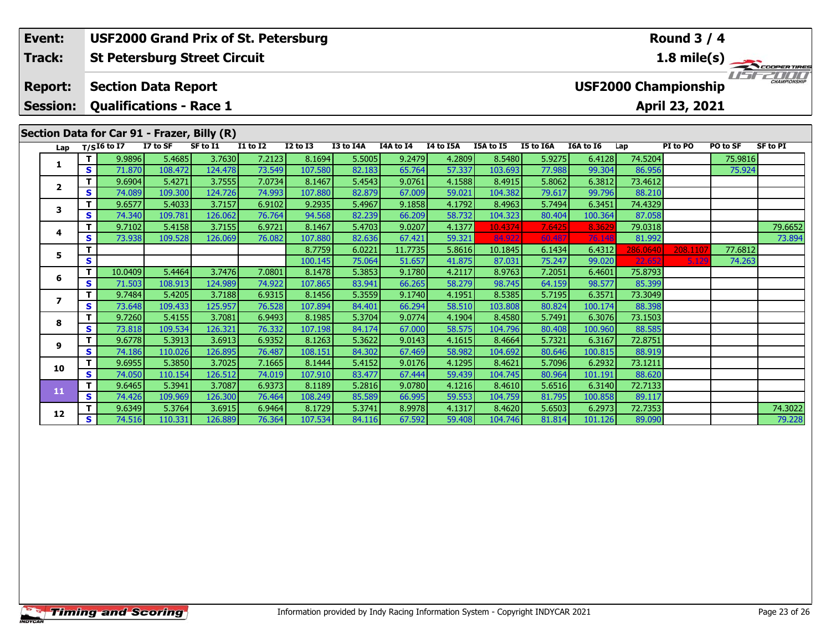### **Round 3 / 4Event: USF2000 Grand Prix of St. Petersburg St Petersburg Street Circuit 1.8 mile(s) Track:**11515211111 **Report: Section Data Report USF2000 Championship Session: Qualifications - Race 1 April 23, 2021 Section Data for Car 91 - Frazer, Billy (R) Lap T/SI6 to I7 I7 to SF SF to I1 I1 to I2 I2 to I3 I3 to I4A I4A to I4 I4 to I5A I5A to I5 I5 to I6A I6A to I6 Lap PI to PO PO to SF SF to PI <sup>T</sup>** 9.9896 5.4685 3.7630 7.2123 8.1694 5.5005 9.2479 4.2809 8.5480 5.9275 6.4128 74.5204 75.9816 **<sup>S</sup>** 71.870 108.472 124.478 73.549 107.580 82.183 65.764 57.337 103.693 77.988 99.304 86.956 75.924**1 <sup>T</sup>** 9.6904 5.4271 3.7555 7.0734 8.1467 5.4543 9.0761 4.1588 8.4915 5.8062 6.3812 73.4612 **<sup>S</sup>** 74.089 109.300 124.726 74.993 107.880 82.879 67.009 59.021 104.382 79.617 99.796 88.210**2 <sup>T</sup>** 9.6577 5.4033 3.7157 6.9102 9.2935 5.4967 9.1858 4.1792 8.4963 5.7494 6.3451 74.4329 **<sup>S</sup>** 74.340 109.781 126.062 76.764 94.568 82.239 66.209 58.732 104.323 80.404 100.364 87.058**3 <sup>T</sup>** 9.7102 5.4158 3.7155 6.9721 8.1467 5.4703 9.0207 4.1377 10.4374 7.6425 8.3629 79.0318 79.6652 **<sup>S</sup>** 73.938 109.528 126.069 76.082 107.880 82.636 67.421 59.321 84.922 60.487 76.148 81.992 73.894**4**

**<sup>T</sup>** 8.7759 6.0221 11.7735 5.8616 10.1845 6.1434 6.4312 286.0640 208.1107 77.6812 **<sup>S</sup>** 100.145 75.064 51.657 41.875 87.031 75.247 99.020 22.652 5.129 74.263

**<sup>T</sup>** 10.0409 5.4464 3.7476 7.0801 8.1478 5.3853 9.1780 4.2117 8.9763 7.2051 6.4601 75.8793 **<sup>S</sup>** 71.503 108.913 124.989 74.922 107.865 83.941 66.265 58.279 98.745 64.159 98.577 85.399

### **7 <sup>T</sup>** 9.7484 5.4205 3.7188 6.9315 8.1456 5.3559 9.1740 4.1951 8.5385 5.7195 6.3571 73.3049 **<sup>S</sup>** 73.648 109.433 125.957 76.528 107.894 84.401 66.294 58.510 103.808 80.824 100.174 88.398**8 <sup>T</sup>** 9.7260 5.4155 3.7081 6.9493 8.1985 5.3704 9.0774 4.1904 8.4580 5.7491 6.3076 73.1503 **<sup>S</sup>** 73.818 109.534 126.321 76.332 107.198 84.174 67.000 58.575 104.796 80.408 100.960 88.585**9 <sup>T</sup>** 9.6778 5.3913 3.6913 6.9352 8.1263 5.3622 9.0143 4.1615 8.4664 5.7321 6.3167 72.8751 **<sup>S</sup>** 74.186 110.026 126.895 76.487 108.151 84.302 67.469 58.982 104.692 80.646 100.815 88.919**10 <sup>T</sup>** 9.6955 5.3850 3.7025 7.1665 8.1444 5.4152 9.0176 4.1295 8.4621 5.7096 6.2932 73.1211 **<sup>S</sup>** 74.050 110.154 126.512 74.019 107.910 83.477 67.444 59.439 104.745 80.964 101.191 88.620**11 <sup>T</sup>** 9.6465 5.3941 3.7087 6.9373 8.1189 5.2816 9.0780 4.1216 8.4610 5.6516 6.3140 72.7133 **<sup>S</sup>** 74.426 109.969 126.300 76.464 108.249 85.589 66.995 59.553 104.759 81.795 100.858 89.117**12<sup>T</sup>** 9.6349 5.3764 3.6915 6.9464 8.1729 5.3741 8.9978 4.1317 8.4620 5.6503 6.2973 72.7353 74.3022 **<sup>S</sup>** 74.516 110.331 126.889 76.364 107.534 84.116 67.592 59.408 104.746 81.814 101.126 89.090 79.228

**5**

**6**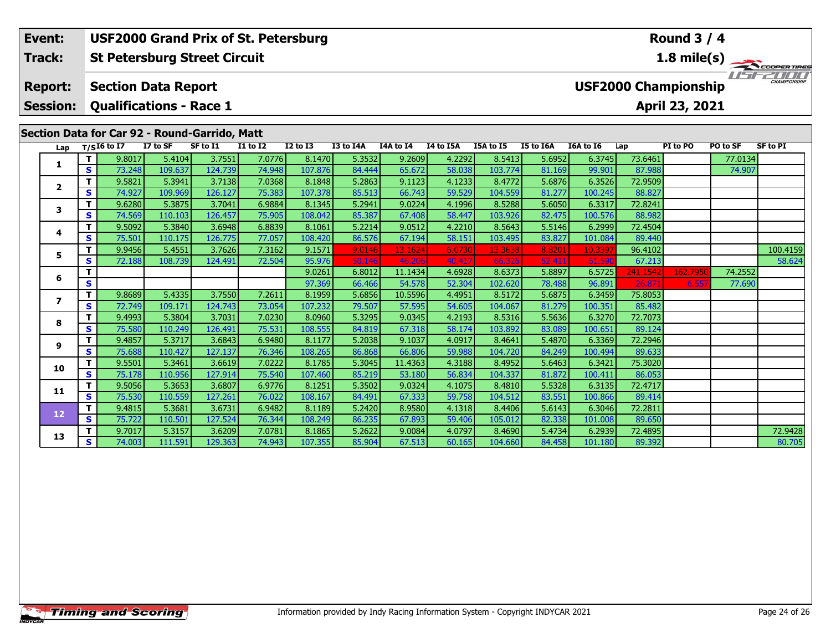| Event:<br><b>Track:</b>                       |                 |   |                                |          | <b>USF2000 Grand Prix of St. Petersburg</b><br><b>St Petersburg Street Circuit</b> |                 |                 |           | <b>Round 3 / 4</b><br>1.8 mile(s) |           |           |           |           |          |                                             |          |                 |  |  |
|-----------------------------------------------|-----------------|---|--------------------------------|----------|------------------------------------------------------------------------------------|-----------------|-----------------|-----------|-----------------------------------|-----------|-----------|-----------|-----------|----------|---------------------------------------------|----------|-----------------|--|--|
|                                               | <b>Report:</b>  |   | <b>Section Data Report</b>     |          |                                                                                    |                 |                 |           |                                   |           |           |           |           |          | CHAMPIONSHIP<br><b>USF2000 Championship</b> |          |                 |  |  |
|                                               | <b>Session:</b> |   | <b>Qualifications - Race 1</b> |          |                                                                                    |                 | April 23, 2021  |           |                                   |           |           |           |           |          |                                             |          |                 |  |  |
| Section Data for Car 92 - Round-Garrido, Matt |                 |   |                                |          |                                                                                    |                 |                 |           |                                   |           |           |           |           |          |                                             |          |                 |  |  |
|                                               | Lap             |   | $T/SI6$ to I7                  | I7 to SF | SF to I1                                                                           | <b>I1 to I2</b> | <b>I2 to I3</b> | I3 to I4A | I4A to I4                         | I4 to I5A | I5A to I5 | I5 to I6A | I6A to I6 | Lap      | PI to PO                                    | PO to SF | <b>SF to PI</b> |  |  |
|                                               | 1               |   | 9.8017                         | 5.4104   | 3.7551                                                                             | 7.0776          | 8.1470          | 5.3532    | 9.2609                            | 4.2292    | 8.5413    | 5.6952    | 6.3745    | 73.6461  |                                             | 77.0134  |                 |  |  |
|                                               |                 | S | 73.248                         | 109.637  | 124.739                                                                            | 74.948          | 107.876         | 84.444    | 65.672                            | 58.038    | 103.774   | 81.169    | 99.901    | 87.988   |                                             | 74.907   |                 |  |  |
|                                               | $\mathbf{2}$    |   | 9.5821                         | 5.3941   | 3.7138                                                                             | 7.0368          | 8.1848          | 5.2863    | 9.1123                            | 4.1233    | 8.4772    | 5.6876    | 6.3526    | 72.9509  |                                             |          |                 |  |  |
|                                               |                 | S | 74.927                         | 109.969  | 126.127                                                                            | 75.383          | 107.378         | 85.513    | 66.743                            | 59.529    | 104.559   | 81.277    | 100.245   | 88.827   |                                             |          |                 |  |  |
|                                               | 3               |   | 9.6280                         | 5.3875   | 3.7041                                                                             | 6.9884          | 8.1345          | 5.2941    | 9.0224                            | 4.1996    | 8.5288    | 5.6050    | 6.3317    | 72.8241  |                                             |          |                 |  |  |
|                                               |                 | S | 74.569                         | 110.103  | 126.457                                                                            | 75.905          | 108.042         | 85.387    | 67.408                            | 58.447    | 103.926   | 82.475    | 100.576   | 88.982   |                                             |          |                 |  |  |
|                                               | 4               |   | 9.5092                         | 5.3840   | 3.6948                                                                             | 6.8839          | 8.1061          | 5.2214    | 9.0512                            | 4.2210    | 8.5643    | 5.5146    | 6.2999    | 72.4504  |                                             |          |                 |  |  |
|                                               |                 | S | 75.501                         | 110.175  | 126.775                                                                            | 77.057          | 108.420         | 86.576    | 67.194                            | 58.151    | 103.495   | 83.827    | 101.084   | 89.440   |                                             |          |                 |  |  |
|                                               | 5               |   | 9.9456                         | 5.4551   | 3.7626                                                                             | 7.3162          | 9.1571          | 9.0146    | 13.1624                           | 6.0730    | 13.3638   | 8.8201    | 10.339    | 96.4102  |                                             |          | 100.4159        |  |  |
|                                               |                 | s | 72.188                         | 108.739  | 124.491                                                                            | 72.504          | 95.976          | 50.146    | 46.206                            | 40.417    | 66,326    | 52.411    | 61.59     | 67.213   |                                             |          | 58.624          |  |  |
|                                               | 6               |   |                                |          |                                                                                    |                 | 9.0261          | 6.8012    | 11.1434                           | 4.6928    | 8.6373    | 5.8897    | 6.5725    | 241.1542 | 162.795                                     | 74.2552  |                 |  |  |
|                                               |                 | S |                                |          |                                                                                    |                 | 97.369          | 66.466    | 54.578                            | 52.304    | 102.620   | 78.488    | 96.891    | 26.8     | 6.557                                       | 77.690   |                 |  |  |
|                                               | 7               | т | 9.8689                         | 5.4335   | 3.7550                                                                             | 7.2611          | 8.1959          | 5.6856    | 10.5596                           | 4.4951    | 8.5172    | 5.6875    | 6.3459    | 75.8053  |                                             |          |                 |  |  |
|                                               |                 | S | 72.749                         | 109.171  | 124.743                                                                            | 73.054          | 107.232         | 79.507    | 57.595                            | 54.605    | 104.067   | 81.279    | 100.351   | 85.482   |                                             |          |                 |  |  |
|                                               | 8               |   | 9.4993                         | 5.3804   | 3.7031                                                                             | 7.0230          | 8.0960          | 5.3295    | 9.0345                            | 4.2193    | 8.5316    | 5.5636    | 6.3270    | 72.7073  |                                             |          |                 |  |  |
|                                               |                 | S | 75.580                         | 110.249  | 126.491                                                                            | 75.531          | 108.555         | 84.819    | 67.318                            | 58.174    | 103.892   | 83.089    | 100.651   | 89.124   |                                             |          |                 |  |  |
|                                               | 9               |   | 9.4857                         | 5.3717   | 3.6843                                                                             | 6.9480          | 8.1177          | 5.2038    | 9.1037                            | 4.0917    | 8.4641    | 5.4870    | 6.3369    | 72.2946  |                                             |          |                 |  |  |
|                                               |                 | S | 75.688                         | 110.427  | 127.137                                                                            | 76.346          | 108.265         | 86.868    | 66.806                            | 59.988    | 104.720   | 84.249    | 100.494   | 89.633   |                                             |          |                 |  |  |

**<sup>T</sup>** 9.5501 5.3461 3.6619 7.0222 8.1785 5.3045 11.4363 4.3188 8.4952 5.6463 6.3421 75.3020 **<sup>S</sup>** 75.178 110.956 127.914 75.540 107.460 85.219 53.180 56.834 104.337 81.872 100.411 86.053

**<sup>T</sup>** 9.5056 5.3653 3.6807 6.9776 8.1251 5.3502 9.0324 4.1075 8.4810 5.5328 6.3135 72.4717 **<sup>S</sup>** 75.530 110.559 127.261 76.022 108.167 84.491 67.333 59.758 104.512 83.551 100.866 89.414

**<sup>T</sup>** 9.4815 5.3681 3.6731 6.9482 8.1189 5.2420 8.9580 4.1318 8.4406 5.6143 6.3046 72.2811 **<sup>S</sup>** 75.722 110.501 127.524 76.344 108.249 86.235 67.893 59.406 105.012 82.338 101.008 89.650

**10**

**11**

**12**

**13**

**<sup>T</sup>** 9.7017 5.3157 3.6209 7.0781 8.1865 5.2622 9.0084 4.0797 8.4690 5.4734 6.2939 72.4895 72.9428 **<sup>S</sup>** 74.003 111.591 129.363 74.943 107.355 85.904 67.513 60.165 104.660 84.458 101.180 89.392 80.705

80.705

89.633

89.414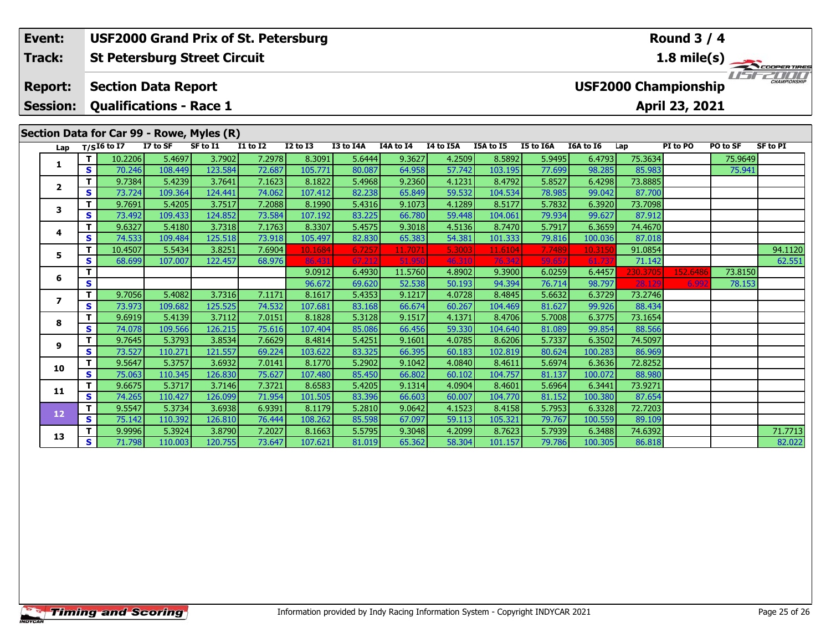### **Round 3 / 4Event: USF2000 Grand Prix of St. Petersburg St Petersburg Street Circuit 1.8 mile(s) Track:**11515211111 **Report: Section Data Report USF2000 Championship Session: Qualifications - Race 1 April 23, 2021 Section Data for Car 99 - Rowe, Myles (R) Lap T/SI6 to I7 I7 to SF SF to I1 I1 to I2 I2 to I3 I3 to I4A I4A to I4 I4 to I5A I5A to I5 I5 to I6A I6A to I6 Lap PI to PO PO to SF SF to PI <sup>T</sup>** 10.2206 5.4697 3.7902 7.2978 8.3091 5.6444 9.3627 4.2509 8.5892 5.9495 6.4793 75.3634 75.9649 **<sup>S</sup>** 70.246 108.449 123.584 72.687 105.771 80.087 64.958 57.742 103.195 77.699 98.285 85.983 75.941**1 <sup>T</sup>** 9.7384 5.4239 3.7641 7.1623 8.1822 5.4968 9.2360 4.1231 8.4792 5.8527 6.4298 73.8885 **<sup>S</sup>** 73.724 109.364 124.441 74.062 107.412 82.238 65.849 59.532 104.534 78.985 99.042 87.700**2**

**<sup>T</sup>** 10.4507 5.5434 3.8251 7.6904 10.1684 6.7257 11.7071 5.3003 11.6104 7.7489 10.3150 91.0854 94.1120 **<sup>S</sup>** 68.699 107.007 122.457 68.976 86.431 67.212 51.950 46.310 76.342 59.657 61.737 71.142 62.551

**<sup>T</sup>** 9.9996 5.3924 3.8790 7.2027 8.1663 5.5795 9.3048 4.2099 8.7623 5.7939 6.3488 74.6392 71.7713 **<sup>S</sup>** 71.798 110.003 120.755 73.647 107.621 81.019 65.362 58.304 101.157 79.786 100.305 86.818 82.022

**<sup>T</sup>** 9.0912 6.4930 11.5760 4.8902 9.3900 6.0259 6.4457 230.3705 152.6486 73.8150 **<sup>S</sup>** 96.672 69.620 52.538 50.193 94.394 76.714 98.797 28.129 6.992 78.153

**<sup>T</sup>** 9.7691 5.4205 3.7517 7.2088 8.1990 5.4316 9.1073 4.1289 8.5177 5.7832 6.3920 73.7098 **<sup>S</sup>** 73.492 109.433 124.852 73.584 107.192 83.225 66.780 59.448 104.061 79.934 99.627 87.912

**<sup>T</sup>** 9.6327 5.4180 3.7318 7.1763 8.3307 5.4575 9.3018 4.5136 8.7470 5.7917 6.3659 74.4670 **<sup>S</sup>** 74.533 109.484 125.518 73.918 105.497 82.830 65.383 54.381 101.333 79.816 100.036 87.018

**<sup>T</sup>** 9.7056 5.4082 3.7316 7.1171 8.1617 5.4353 9.1217 4.0728 8.4845 5.6632 6.3729 73.2746 **<sup>S</sup>** 73.973 109.682 125.525 74.532 107.681 83.168 66.674 60.267 104.469 81.627 99.926 88.434

**<sup>T</sup>** 9.6919 5.4139 3.7112 7.0151 8.1828 5.3128 9.1517 4.1371 8.4706 5.7008 6.3775 73.1654 **<sup>S</sup>** 74.078 109.566 126.215 75.616 107.404 85.086 66.456 59.330 104.640 81.089 99.854 88.566

**<sup>T</sup>** 9.7645 5.3793 3.8534 7.6629 8.4814 5.4251 9.1601 4.0785 8.6206 5.7337 6.3502 74.5097 **<sup>S</sup>** 73.527 110.271 121.557 69.224 103.622 83.325 66.395 60.183 102.819 80.624 100.283 86.969

**<sup>T</sup>** 9.5647 5.3757 3.6932 7.0141 8.1770 5.2902 9.1042 4.0840 8.4611 5.6974 6.3636 72.8252 **<sup>S</sup>** 75.063 110.345 126.830 75.627 107.480 85.450 66.802 60.102 104.757 81.137 100.072 88.980

**<sup>T</sup>** 9.6675 5.3717 3.7146 7.3721 8.6583 5.4205 9.1314 4.0904 8.4601 5.6964 6.3441 73.9271 **<sup>S</sup>** 74.265 110.427 126.099 71.954 101.505 83.396 66.603 60.007 104.770 81.152 100.380 87.654

**<sup>T</sup>** 9.5547 5.3734 3.6938 6.9391 8.1179 5.2810 9.0642 4.1523 8.4158 5.7953 6.3328 72.7203 **<sup>S</sup>** 75.142 110.392 126.810 76.444 108.262 85.598 67.097 59.113 105.321 79.767 100.559 89.109

**3**

**4**

**5**

**6**

**7**

**8**

**9**

**10**

**11**

**12**

**13**